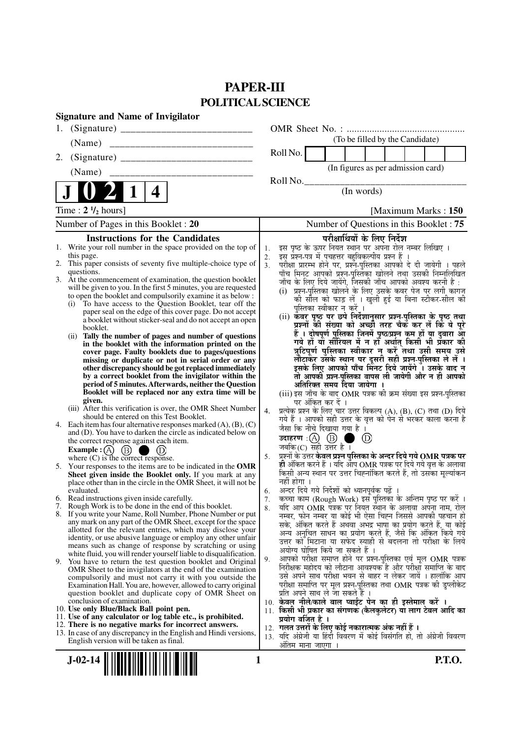## **PAPER-III POLITICAL SCIENCE**

| <b>Signature and Name of Invigilator</b>                                                                                                 |                                                                                                                                     |
|------------------------------------------------------------------------------------------------------------------------------------------|-------------------------------------------------------------------------------------------------------------------------------------|
| 1.                                                                                                                                       |                                                                                                                                     |
| (Name)                                                                                                                                   | (To be filled by the Candidate)                                                                                                     |
| 2.                                                                                                                                       | Roll No.                                                                                                                            |
| (Name)                                                                                                                                   | (In figures as per admission card)                                                                                                  |
|                                                                                                                                          | Roll No.<br>(In words)                                                                                                              |
| 4                                                                                                                                        |                                                                                                                                     |
| Time: $2 \frac{1}{2}$ hours]                                                                                                             | [Maximum Marks: 150]                                                                                                                |
| Number of Pages in this Booklet : 20                                                                                                     | Number of Questions in this Booklet: 75                                                                                             |
| <b>Instructions for the Candidates</b>                                                                                                   | परीक्षार्थियों के लिए निर्देश                                                                                                       |
| 1. Write your roll number in the space provided on the top of<br>this page.                                                              | इस पृष्ठ के ऊपर नियत स्थान पर अपना रोल नम्बर लिखिए ।<br>1.<br>इस प्रश्न-पत्र में पचहत्तर बहुविकल्पीय प्रश्न हैं ।                   |
| This paper consists of seventy five multiple-choice type of<br>2.                                                                        | 2.<br>परीक्षा प्रारम्भ होने पर, प्रश्नॅ-पुस्तिका आपको दे दी जायेगी । पहले<br>3 <sub>1</sub>                                         |
| questions.<br>3. At the commencement of examination, the question booklet                                                                | पाँच मिनट आपको प्रश्न-पुस्तिका खोलने तथा उसकी निम्नलिखित                                                                            |
| will be given to you. In the first 5 minutes, you are requested                                                                          | जाँच के लिए दिये जायेंगे, जिसकी जाँच आपको अवश्य करनी है :<br>(i)  प्रश्न-पुस्तिका खोलने के लिए उसके कवर पेज पर लगी कागज             |
| to open the booklet and compulsorily examine it as below :<br>(i) To have access to the Question Booklet, tear off the                   | की सील को फाड़ लें । खुली हुई या बिना स्टीकर-सील की                                                                                 |
| paper seal on the edge of this cover page. Do not accept                                                                                 | पुस्तिका स्वीकार न करें ।                                                                                                           |
| a booklet without sticker-seal and do not accept an open                                                                                 | (ii) कंवर पृष्ठ पर छपे निर्देशानुसार प्रश्न-पुस्तिका के पृष्ठ तथा<br>प्रश्नों की संख्या को अच्छी तरह चैक कर लें कि ये पूरे          |
| booklet.<br>(ii) Tally the number of pages and number of questions                                                                       | हैं । दोषपूर्ण पुस्तिका जिनमें पृष्ठ/प्रश्न कम हों या दुबारा आ                                                                      |
| in the booklet with the information printed on the                                                                                       | गये हों यो सीरियल में न हों अर्थात् किसी भी प्रॅकार की<br>त्रुटिपूर्ण पुस्तिका स्वीकार न करें तथा उसी समय उसे                       |
| cover page. Faulty booklets due to pages/questions<br>missing or duplicate or not in serial order or any                                 | लौटाकेर उसके स्थान पर दूसरी सही प्रश्न-पुस्तिका ले लें ।                                                                            |
| other discrepancy should be got replaced immediately                                                                                     | इसके लिए आपको पाँच मिनट दिये जायेंगे । उसके बाद न                                                                                   |
| by a correct booklet from the invigilator within the<br>period of 5 minutes. Afterwards, neither the Question                            | तो आपकी प्रश्न-पुस्तिका वापस ली जायेगी और न ही आपको<br>अतिरिक्त समय दिया जायेगा ।                                                   |
| Booklet will be replaced nor any extra time will be                                                                                      | (iii) इस जाँच के बाद OMR पत्रक की क्रम संख्या इस प्रश्न-पुस्तिका                                                                    |
| given.<br>(iii) After this verification is over, the OMR Sheet Number                                                                    | पर अंकित कर दें ।<br>4.                                                                                                             |
| should be entered on this Test Booklet.                                                                                                  | प्रत्येक प्रश्न के लिए चार उत्तर विकल्प (A), (B), (C) तथा (D) दिये<br>गये हैं । आपको सही उत्तर के वृत्त को पेन से भरकर काला करना है |
| 4. Each item has four alternative responses marked $(A)$ , $(B)$ , $(C)$<br>and (D). You have to darken the circle as indicated below on | जैसा कि नीचे दिखाया गया है ।                                                                                                        |
| the correct response against each item.                                                                                                  | उदाहरण: $(A)$ $(B)$<br>$\circled{D}$                                                                                                |
| Example : $(A)$<br>(B)<br>where $(C)$ is the correct response.                                                                           | जबकि $(C)$ सही उत्तर है ।<br>प्रश्नों के उत्तर केवल प्रश्न पुस्तिका के अन्दर दिये गये OMR पत्रक पर<br>5.                            |
| 5. Your responses to the items are to be indicated in the OMR                                                                            | ही अंकित करने हैं । यदि आप OMR पत्रक पर दिये गये वृत्त के अलावा                                                                     |
| Sheet given inside the Booklet only. If you mark at any<br>place other than in the circle in the OMR Sheet, it will not be               | किसी अन्य स्थान पर उत्तर चिह्नांकित करते हैं, तो उसका मृल्यांकन<br>नहीं होगा ।                                                      |
| evaluated.                                                                                                                               | अन्दर दिये गये निर्देशों को ध्यानपूर्वक पढ़ें<br>6.                                                                                 |
| 6. Read instructions given inside carefully.                                                                                             | कच्चा काम (Rough Work) इस पुस्तिका के अन्तिम पृष्ठ पर करें ।<br>7.                                                                  |
| 7. Rough Work is to be done in the end of this booklet.<br>8. If you write your Name, Roll Number, Phone Number or put                   | यदि आप OMR पत्रक पर नियत स्थान के अलावा अपना नाम, रोल<br>8.<br>नम्बर, फोन नम्बर या कोई भी ऐसा चिह्न जिससे आपकी पहचान हो             |
| any mark on any part of the OMR Sheet, except for the space                                                                              | सके, अंकित करते हैं अथवा अभद्र भाषा का प्रयोग करते हैं, या कोई                                                                      |
| allotted for the relevant entries, which may disclose your<br>identity, or use abusive language or employ any other unfair               | अन्य अनुचित साधन का प्रयोग करते हैं, जैसे कि अंकित किये गये                                                                         |
| means such as change of response by scratching or using                                                                                  | उत्तर को मिटाना या सफेद स्याही से बदलना तो परीक्षा के लिये<br>अयोग्य घोषित किये जा सकते हैं ।                                       |
| white fluid, you will render yourself liable to disqualification.<br>9. You have to return the test question booklet and Original        | आपको परीक्षा समाप्त होने पर प्रश्न-पुस्तिका एवं मूल OMR पत्रक<br>9.                                                                 |
| OMR Sheet to the invigilators at the end of the examination                                                                              | निरीक्षक महोदय को लौटाना आवश्यक है और परीक्षा समाप्ति के बाद<br>उसे अपने साथ परीक्षा भवन से बाहर न लेकर जायें । हालांकि आप          |
| compulsorily and must not carry it with you outside the<br>Examination Hall. You are, however, allowed to carry original                 | परीक्षा समाप्ति पर मूल प्रश्न-पुस्तिका तथा OMR पत्रक की डुप्लीकेट                                                                   |
| question booklet and duplicate copy of OMR Sheet on                                                                                      | प्रति अपने साथ ले जा सकते हैं ।                                                                                                     |
| conclusion of examination.<br>10. Use only Blue/Black Ball point pen.                                                                    | 10. केवल नीले/काले बाल प्वाईंट पेन का ही इस्तेमाल करें ।<br>11. किसी भी प्रकार का संगणक (कैलकुलेटर) या लाग टेबल आदि का              |
| 11. Use of any calculator or log table etc., is prohibited.                                                                              | प्रयोग वर्जित है ।                                                                                                                  |
| 12. There is no negative marks for incorrect answers.<br>13. In case of any discrepancy in the English and Hindi versions,               | 12.  गलत उत्तरों के लिए कोई नकारात्मक अंक नहीं हैं ।                                                                                |
| English version will be taken as final.                                                                                                  | 13. यदि अंग्रेजी या हिंदी विवरण में कोई विसंगति हो, तो अंग्रेजी विवरण<br>अंतिम माना जाएगा                                           |
|                                                                                                                                          | <b>P.T.O.</b>                                                                                                                       |
| $J-02-14$<br>1                                                                                                                           |                                                                                                                                     |
|                                                                                                                                          |                                                                                                                                     |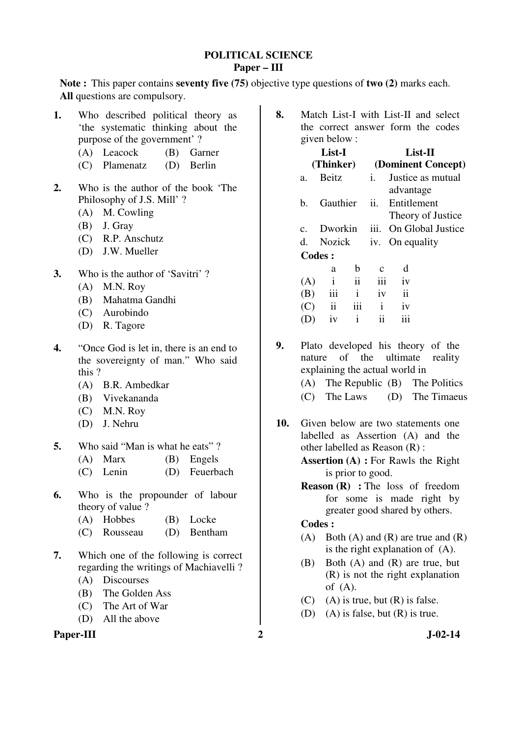#### **POLITICAL SCIENCE Paper – III**

**Note :** This paper contains **seventy five (75)** objective type questions of **two (2)** marks each. **All** questions are compulsory.

| 1.               |       | Who described political theory as<br>'the systematic thinking about the |               |
|------------------|-------|-------------------------------------------------------------------------|---------------|
|                  |       | purpose of the government'?                                             |               |
|                  |       | (A) Leacock                                                             | (B) Garner    |
|                  |       | (C) Plamenatz (D) Berlin                                                |               |
| $\overline{2}$ . |       | Who is the author of the book 'The<br>Philosophy of J.S. Mill'?         |               |
|                  |       | (A) M. Cowling                                                          |               |
|                  |       | $(B)$ J. Gray                                                           |               |
|                  |       | (C) R.P. Anschutz                                                       |               |
|                  |       | (D) J.W. Mueller                                                        |               |
| 3.               |       | Who is the author of 'Savitri'?                                         |               |
|                  |       | $(A)$ M.N. Roy                                                          |               |
|                  |       | (B) Mahatma Gandhi                                                      |               |
|                  |       | (C) Aurobindo                                                           |               |
|                  |       | (D) R. Tagore                                                           |               |
| 4.               |       | "Once God is let in, there is an end to                                 |               |
|                  |       | the sovereignty of man." Who said                                       |               |
|                  | this? |                                                                         |               |
|                  |       | (A) B.R. Ambedkar                                                       |               |
|                  |       | (B) Vivekananda                                                         |               |
|                  |       | $(C)$ M.N. Roy                                                          |               |
|                  |       | (D) J. Nehru                                                            |               |
| 5.               |       | Who said "Man is what he eats"?                                         |               |
|                  |       | $(A)$ Marx                                                              | (B) Engels    |
|                  |       | $(C)$ Lenin                                                             | (D) Feuerbach |

- **6.** Who is the propounder of labour theory of value ?
	- (A) Hobbes (B) Locke
	- (C) Rousseau (D) Bentham
- **7.** Which one of the following is correct regarding the writings of Machiavelli ? (A) Discourses
	-
	- (B) The Golden Ass
	- (C) The Art of War
	- (D) All the above

## Paper-III 2 J-02-14

**8.** Match List-I with List-II and select the correct answer form the codes given below :

| List-I<br>(Thinker) |                     |              | $List-II$<br>(Dominent Concept) |                         |                   |  |
|---------------------|---------------------|--------------|---------------------------------|-------------------------|-------------------|--|
| a.                  | <b>Beitz</b>        |              | Ĺ.                              | advantage               | Justice as mutual |  |
| h.                  | Gauthier            |              | ii.                             | Entitlement             | Theory of Justice |  |
| $C_{-}$             | Dworkin             |              | iii.                            |                         | On Global Justice |  |
| d.                  | Nozick              |              |                                 | iv. On equality         |                   |  |
| <b>Codes:</b>       |                     |              |                                 |                         |                   |  |
|                     | a                   | b            | $\mathbf{c}$                    | d                       |                   |  |
| (A)                 | i                   | ii           | iii                             | iv                      |                   |  |
| (B)                 | iii                 | $\mathbf{i}$ | iv                              | $\overline{\mathbf{u}}$ |                   |  |
| (C)                 | $\ddot{\mathbf{i}}$ | iii          | $\mathbf{1}$                    | iv                      |                   |  |
|                     | iv                  | i            | ij                              | iii                     |                   |  |
|                     |                     |              |                                 |                         |                   |  |

**9.** Plato developed his theory of the nature of the ultimate reality explaining the actual world in (A) The Republic (B) The Politics

- (C) The Laws (D) The Timaeus
- **10.** Given below are two statements one labelled as Assertion (A) and the other labelled as Reason (R) :

**Assertion (A) :** For Rawls the Right is prior to good.

**Reason (R) :** The loss of freedom for some is made right by greater good shared by others.

## **Codes :**

- (A) Both (A) and (R) are true and  $(R)$ is the right explanation of (A).
- (B) Both (A) and (R) are true, but (R) is not the right explanation of (A).
- $(C)$  (A) is true, but  $(R)$  is false.
- (D) (A) is false, but  $(R)$  is true.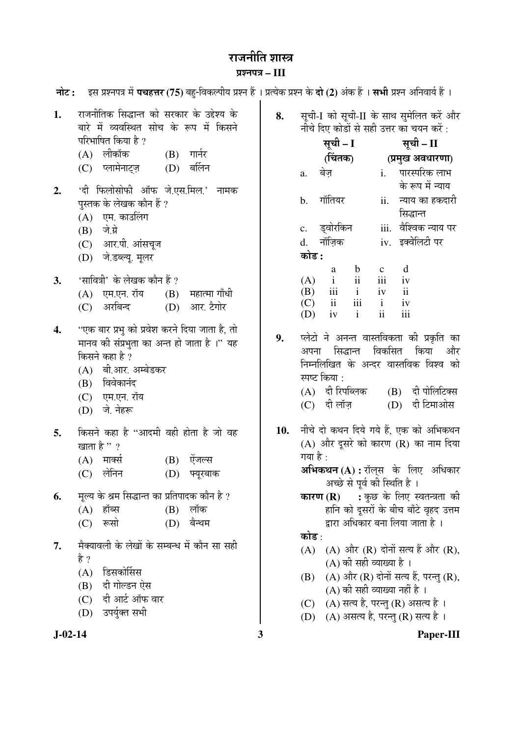# राजनीति शास्त्र

## ¯ÖÏ¿®Ö¯Ö¡Ö **– III**

| नोट : | - इस प्रश्नपत्र में <b>पचहत्तर (75)</b> बहु-विकल्पीय प्रश्न हैं । प्रत्येक प्रश्न के <b>दो (2</b> ) अंक हैं । <b>सभी</b> प्रश्न अनिवार्य हैं । |     |                                                                                             |
|-------|------------------------------------------------------------------------------------------------------------------------------------------------|-----|---------------------------------------------------------------------------------------------|
| 1.    | राजनीतिक सिद्धान्त को सरकार के उद्देश्य के<br>बारे में व्यवस्थित सोच के रूप में किसने                                                          | 8.  | सूची-I को सूची-II के साथ सुमेलित करें और<br>नीचे दिए कोडों से सही उत्तर का चयन करें :       |
|       | परिभाषित किया है ?                                                                                                                             |     | सूची - II<br>सूची – I                                                                       |
|       | (A) लीकॉक<br>$(B)$ गार्नर                                                                                                                      |     | (चितक)<br>(प्रमुख अवधारणा)                                                                  |
|       | बर्लिन<br>(C) प्लामेनाट्ज़<br>(D)                                                                                                              |     | पारस्परिक लाभ<br>बेज़<br>$i$ .<br>a.<br>के रूप में न्याय                                    |
| 2.    | 'दी फिलोसोफी ऑफ जे.एस.मिल.' नामक<br>पुस्तक के लेखक कौन हैं ?<br>(A) एम. काउलिंग                                                                |     | गॉतियर<br>ii.<br>न्याय का हकदारी<br>b.<br>सिद्धान्त                                         |
|       | $(B)$ जे.ग्रे                                                                                                                                  |     | वैश्विक न्याय पर<br>ड्वोरकिन<br>iii.<br>c.                                                  |
|       | (C) आर.पी. आंसचूज                                                                                                                              |     | नॉज़िक<br>iv. इक्वेलिटी पर<br>d.                                                            |
|       | (D) जे.डब्ल्यू. मूलर                                                                                                                           |     | कोड :                                                                                       |
|       |                                                                                                                                                |     | d<br>$\mathbf b$<br>$\mathbf C$<br>a                                                        |
| 3.    | 'सावित्री' के लेखक कौन हैं ?                                                                                                                   |     | iii<br>ii<br>$\mathbf{i}$<br>iv<br>(A)                                                      |
|       | (A) एम.एन. रॉय<br>महात्मा गाँधी<br>(B)                                                                                                         |     | $\mathbf{i}$<br>$\mathbf{ii}$<br>(B)<br>iii<br>iv<br>iii<br>ii<br>$\mathbf{i}$<br>(C)<br>iv |
|       | अरबिन्द<br>आर. टैगोर<br>(D)<br>(C)                                                                                                             |     | $\mathbf{ii}$<br>iii<br>$\mathbf{i}$<br>iv<br>(D)                                           |
| 4.    | ''एक बार प्रभु को प्रवेश करने दिया जाता है, तो<br>मानव की संप्रभुता का अन्त हो जाता है ।'' यह                                                  | 9.  | प्लेटो ने अनन्त वास्तविकता की प्रकृति का<br>विकसित<br>किया<br>सिद्धान्त<br>और               |
|       | किसने कहा है ?                                                                                                                                 |     | अपना<br>निम्नलिखित के अन्दर वास्तविक विश्व को                                               |
|       | (A) बी.आर. अम्बेडकर                                                                                                                            |     | स्पष्ट किया :                                                                               |
|       | (B) विवेकानंद                                                                                                                                  |     | (B) दी पोलिटिक्स<br>(A) दी रिपब्लिक                                                         |
|       | (C) एम.एन. रॉय                                                                                                                                 |     | दी टिमाओस<br>$(C)$ दी लॉज़<br>(D)                                                           |
|       | जे. नेहरू<br>(D)                                                                                                                               |     |                                                                                             |
| 5.    | किसने कहा है "आदमी वही होता है जो वह                                                                                                           | 10. | नीचे दो कथन दिये गये हैं, एक को अभिकथन                                                      |
|       | खाता है " ?                                                                                                                                    |     | $(A)$ और दूसरे को कारण $(R)$ का नाम दिया                                                    |
|       | ऐंजल्स<br>मार्क्स<br>(B)<br>(A)                                                                                                                |     | गया है :                                                                                    |
|       | लेनिन<br>(C)<br>(D)<br>फ्यूरबाक                                                                                                                |     | <b>अभिकथन (A) :</b> रॉल् <b>स के लिए अधिकार</b><br>अच्छे से पूर्व की स्थिति है ।            |
| 6.    | मूल्य के श्रम सिद्धान्त का प्रतिपादक कौन है ?                                                                                                  |     | <b>कारण (R) :</b> कुछ के लिए स्वतन्त्रता की                                                 |
|       | $(B)$ लॉक<br>$(A)$ हॉब्स                                                                                                                       |     | हानि को दूसरों के बीच बाँटे वृहद उत्तम                                                      |
|       | रूसो<br>बैन्थम<br>(D)<br>(C)                                                                                                                   |     | द्वारा अधिकार बना लिया जाता है ।                                                            |
| 7.    | मैक्यावली के लेखों के सम्बन्ध में कौन सा सही                                                                                                   |     | कोड :                                                                                       |
|       | है ?                                                                                                                                           |     | (A) और (R) दोनों सत्य हैं और (R),<br>(A)                                                    |
|       | डिसकोर्सिस<br>(A)                                                                                                                              |     | (A) की सही व्याख्या है ।                                                                    |
|       | दी गोल्डन ऐस<br>(B)                                                                                                                            |     | (A) और (R) दोनों सत्य हैं, परन्तु (R),<br>(B)<br>(A) की सही व्याख्या नहीं है ।              |
|       | दी आर्ट ऑफ वार<br>(C)                                                                                                                          |     | (A) सत्य है, परन्तु (R) असत्य है ।<br>(C)                                                   |
|       | उपर्युक्त सभी<br>(D)                                                                                                                           |     | (A) असत्य है, परन्तु (R) सत्य है ।<br>(D)                                                   |
|       |                                                                                                                                                |     |                                                                                             |

**J-02-14 3 Paper-III**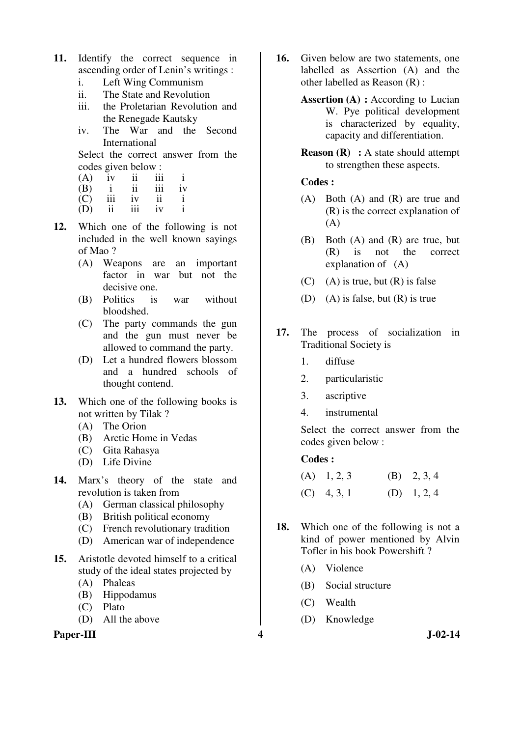- **11.** Identify the correct sequence in ascending order of Lenin's writings :
	- i. Left Wing Communism
	- ii. The State and Revolution
	- iii. the Proletarian Revolution and the Renegade Kautsky
	- iv. The War and the Second International

 Select the correct answer from the codes given below :<br>(A)  $\frac{1}{2}$  iv  $\frac{1}{2}$  iii

- $(A)$  iv ii iii i
- (B) i ii iii iv
- (C) iii iv ii i
	- (D) ii iii iv i
- **12.** Which one of the following is not included in the well known sayings of Mao ?
	- (A) Weapons are an important factor in war but not the decisive one.
	- (B) Politics is war without bloodshed.
	- (C) The party commands the gun and the gun must never be allowed to command the party.
	- (D) Let a hundred flowers blossom and a hundred schools of thought contend.
- **13.** Which one of the following books is not written by Tilak ?
	- (A) The Orion
	- (B) Arctic Home in Vedas
	- (C) Gita Rahasya
	- (D) Life Divine
- **14.** Marx's theory of the state and revolution is taken from
	- (A) German classical philosophy
	- (B) British political economy
	- (C) French revolutionary tradition
	- (D) American war of independence
- **15.** Aristotle devoted himself to a critical study of the ideal states projected by
	- (A) Phaleas
	- (B) Hippodamus
	- (C) Plato
	- (D) All the above

#### **Paper-III 4 J-02-14**

- **16.** Given below are two statements, one labelled as Assertion (A) and the other labelled as Reason (R) :
	- **Assertion (A) :** According to Lucian W. Pye political development is characterized by equality, capacity and differentiation.
	- **Reason (R)** : A state should attempt to strengthen these aspects.

#### **Codes :**

- (A) Both (A) and (R) are true and (R) is the correct explanation of (A)
- (B) Both (A) and (R) are true, but (R) is not the correct explanation of (A)
- $(C)$  (A) is true, but  $(R)$  is false
- (D) (A) is false, but (R) is true
- **17.** The process of socialization in Traditional Society is
	- 1. diffuse
	- 2. particularistic
	- 3. ascriptive
	- 4. instrumental

Select the correct answer from the codes given below :

#### **Codes :**

| $(A)$ 1, 2, 3 | $(B)$ 2, 3, 4 |
|---------------|---------------|
| $(C)$ 4, 3, 1 | (D) $1, 2, 4$ |

- **18.** Which one of the following is not a kind of power mentioned by Alvin Tofler in his book Powershift ?
	- (A) Violence
	- (B) Social structure
	- (C) Wealth
	- (D) Knowledge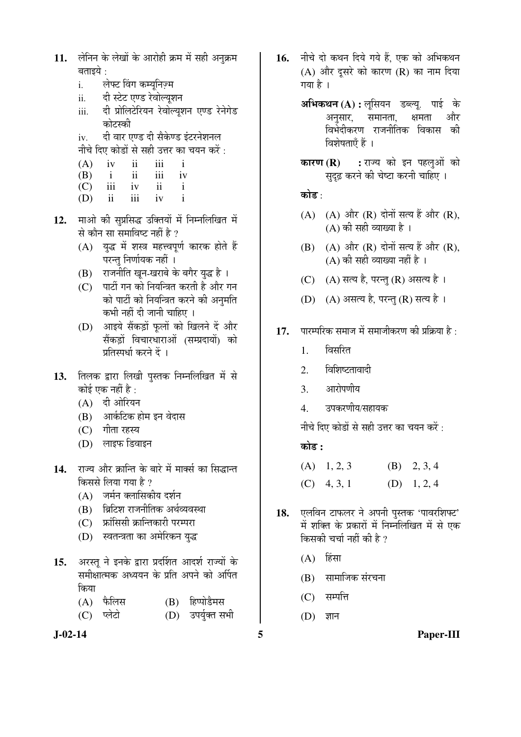| 11. लेनिन के लेखों के आरोही क्रम में सही अनुक्रम |
|--------------------------------------------------|
| बताइये :                                         |

- i. लेफ्ट विंग कम्यनिज़्म
- ii. दी स्टेट एण्ड रेवोल्यूशन
- iii. दी प्रोलिटेरियन रेवोल्युशन एण्ड रेनेगेड कोटस्की
- iv. वी वार एण्ड दी सैकेण्ड इंटरनेशनल

नीचे दिए कोडों से सही उत्तर का चयन करें :

| (A) | 1V         | 11  | 111 |    |
|-----|------------|-----|-----|----|
| (B) |            | 11  | 111 | 1V |
| (C) | <i>iii</i> | iv  | 11  |    |
| (D) | ii         | 111 | iv  |    |

- 12. माओ की सुप्रसिद्ध उक्तियों में निम्नलिखित में से कौन सा समाविष्ट नहीं है ?
	- (A) युद्ध में शस्त्र महत्त्वपूर्ण कारक होते हैं परन्तु निर्णायक नहीं ।
	- (B) राजनीति खून-खराबे के बगैर युद्ध है।
	- (C) पार्टी गन को नियन्त्रित करती है और गन को पार्टी को नियन्त्रित करने की अनुमति कभी नहीं दी जानी चाहिए ।
	- (D) आइये सैंकड़ों फलों को खिलने दें और सैंकड़ों विचारधाराओं (सम्प्रदायों) को प्रतिम्पर्धा करने दें ।
- 13. तिलक द्वारा लिखी पुस्तक निम्नलिखित में से कोई एक नहीं है :
	- $(A)$  दी ओरियन
	- (B) आर्कटिक होम इन वेदास
	- $(C)$  गीता रहस्य
	- (D) लाइफ डिवाइन
- 14. राज्य और क्रान्ति के बारे में मार्क्स का सिद्धान्त किससे लिया गया है ?
	- $(A)$  जर्मन क्लासिकीय दर्शन
	- (B) । ब्रिटिश राजनीतिक अर्थव्यवस्था
	- $(C)$  क्रांसिसी क्रान्तिकारी परम्परा
	- (D) स्वतन्त्रता का अमेरिकन युद्ध
- 15. अरस्तु ने इनके द्वारा प्रदर्शित आदर्श राज्यों के समीक्षात्मक अध्ययन के प्रति अपने को अर्पित किया
	- (A) फैलिस (B) हिप्पोडैमस
	- (C) प्लेटो (D) उपर्युक्त सभी
- 
- 16. **नीचे दो कथन दिये गये हैं. एक को अभिकथ**न  $(A)$  और दुसरे को कारण  $(R)$  का नाम दिया गया है ।
	- **अभिकथन (A) :** लूसियन डब्ल्यू. पाई के अनसार, समानता, क्षमता और <u>विभेंदीकरण राजनीतिक विकास की</u> विशेषताएँ हैं ।
	- **कारण (R) :** राज्य को इन पहलुओं को सदढ़ करने की चेष्टा करनी चाहिए ।

## कोड :

- $(A)$   $(A)$  और  $(R)$  दोनों सत्य हैं और  $(R)$ ,  $(A)$  की सही व्याख्या है।
- $(B)$   $(A)$  और  $(R)$  दोनों सत्य हैं और  $(R)$ , (A) की सही व्याख्या नहीं है ।
- $(C)$   $(A)$  सत्य है, परन्तु  $(R)$  असत्य है ।
- (D) (A) असत्य है, परन्तु (R) सत्य है।
- 17. पारम्परिक समाज में समाजीकरण की प्रक्रिया है :
	- 1. बिसरित
	- 2. विशिष्टतावादी
	- 3. आरोपणीय
	- 4. उपकरणीय/सहायक

नीचे दिए कोडों से सही उत्तर का चयन करें:

## 󜅐ݟ **:**

| $(A)$ 1, 2, 3 | (B) $2, 3, 4$ |
|---------------|---------------|
| $(C)$ 4, 3, 1 | (D) $1, 2, 4$ |

- 18. **एलविन टाफलर ने अपनी पुस्तक 'पावरशिफ्ट**' में शक्ति के प्रकारों में निम्नलिखित में से एक किसकी चर्चा नहीं की है ?
	- $(A)$  हिंसा
	- (B) सामाजिक संरचना
	- $(C)$  सम्पत्ति
	- $(D)$  ज्ञान

**J-02-14 5 Paper-III**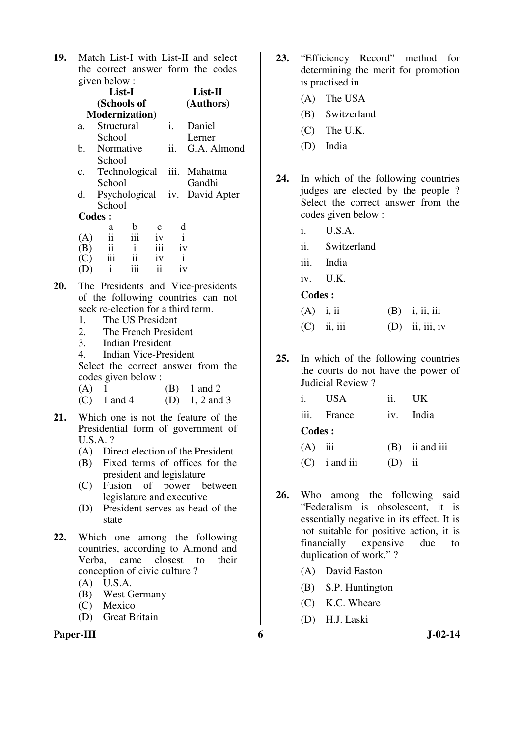**19.** Match List-I with List-II and select the correct answer form the codes given below :

|    | List-I         |                          |               |              | List-II      |                                    |  |
|----|----------------|--------------------------|---------------|--------------|--------------|------------------------------------|--|
|    | (Schools of    |                          |               |              | (Authors)    |                                    |  |
|    |                | <b>Modernization</b> )   |               |              |              |                                    |  |
|    | a.             | Structural               |               |              | i.           | Daniel                             |  |
|    |                | School                   |               |              |              | Lerner                             |  |
|    | b.             | Normative                |               |              | ii.          | G.A. Almond                        |  |
|    |                | School                   |               |              |              |                                    |  |
|    | $\mathbf{c}$ . |                          |               |              |              | Technological iii. Mahatma         |  |
|    |                | School                   |               |              |              | Gandhi                             |  |
|    | d.             |                          |               |              |              | Psychological iv. David Apter      |  |
|    |                | School                   |               |              |              |                                    |  |
|    | <b>Codes:</b>  |                          |               |              |              |                                    |  |
|    |                | a                        | b             | $\mathbf{C}$ | d            |                                    |  |
|    | (A)            | $\overline{\textbf{ii}}$ | iii           | iv           |              |                                    |  |
|    | (B)            | ii                       | $\mathbf{i}$  | iii          | iv           |                                    |  |
|    | (C)            | $\overline{\text{iii}}$  | $\mathbf{ii}$ | iv           | $\mathbf{i}$ |                                    |  |
|    | (D)            | $\mathbf{i}$             | iii           | ii           | iv           |                                    |  |
| ንበ |                |                          |               |              |              | The Dresidents and Vice presidents |  |

- **20.** The Presidents and Vice-presidents of the following countries can not seek re-election for a third term.
	- 1. The US President
	- 2. The French President<br>3. Indian President
	- 3. Indian President
	- 4. Indian Vice-President

 Select the correct answer from the codes given below :

| $(A)$ 1 |               | $(B)$ 1 and 2  |
|---------|---------------|----------------|
|         | $(C)$ 1 and 4 | (D) 1, 2 and 3 |

- **21.** Which one is not the feature of the Presidential form of government of U.S.A. ?
	- (A) Direct election of the President
	- (B) Fixed terms of offices for the president and legislature
	- (C) Fusion of power between legislature and executive
	- (D) President serves as head of the state
- **22.** Which one among the following countries, according to Almond and Verba, came closest to their conception of civic culture ?
	- (A) U.S.A.
	- (B) West Germany
	- (C) Mexico
	- (D) Great Britain

#### **Paper-III 6** J-02-14

- **23.** "Efficiency Record" method for determining the merit for promotion is practised in
	- (A) The USA
	- (B) Switzerland
	- (C) The U.K.
	- (D) India
- **24.** In which of the following countries judges are elected by the people ? Select the correct answer from the codes given below :
	- i. U.S.A.
	- ii. Switzerland
	- iii. India
	- iv. U.K.

 **Codes :** 

| $(A)$ i, ii |               | $(B)$ i, ii, iii  |
|-------------|---------------|-------------------|
|             | $(C)$ ii, iii | $(D)$ ii, iii, iv |

**25.** In which of the following countries the courts do not have the power of Judicial Review ?

|           | i. USA          | 11 <sub>1</sub> | - UK             |
|-----------|-----------------|-----------------|------------------|
|           | iii. France     |                 | iv. India        |
| Codes :   |                 |                 |                  |
| $(A)$ iii |                 |                 | $(B)$ ii and iii |
|           | $(C)$ i and iii | (D)             | - 11             |

- **26.** Who among the following said "Federalism is obsolescent, it is essentially negative in its effect. It is not suitable for positive action, it is financially expensive due to duplication of work." ?
	- (A) David Easton
	- (B) S.P. Huntington
	- (C) K.C. Wheare
	- (D) H.J. Laski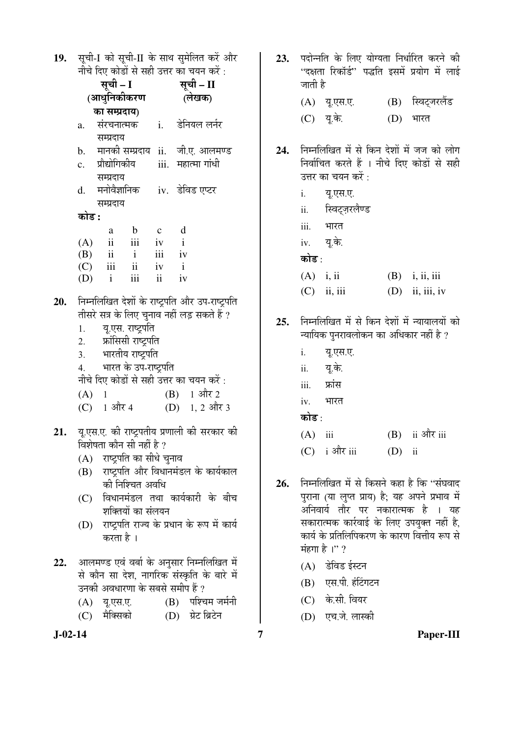| 19. सूची-I को सूची-II के साथ सुमेलित करें और |  |
|----------------------------------------------|--|
| नीचे दिए कोडों से सही उत्तर का चयन करें :    |  |

|     |       |                                    |                   |              | नाच दिए काडा स सहा उत्तर का चयन कर :                  |
|-----|-------|------------------------------------|-------------------|--------------|-------------------------------------------------------|
|     |       | सूची – I                           |                   |              | सूची – II                                             |
|     |       | (आधुनिकीकरण                        |                   |              | (लेखक)                                                |
|     |       | का सम्प्रदाय)                      |                   |              |                                                       |
|     | a.    | संरचनात्मक                         |                   |              | i. डेनियल लर्नर                                       |
|     |       | सम्प्रदाय                          |                   |              |                                                       |
|     |       |                                    |                   |              | b. मानकी सम्प्रदाय ii. जी.ए. आलमण्ड                   |
|     |       | c. प्रौद्योगिकीय                   |                   |              | iii.   महात्मा गांधी                                  |
|     |       | सम्प्रदाय                          |                   |              |                                                       |
|     |       |                                    |                   |              | d. मनोवैज्ञानिक iv. डेविड एप्टर                       |
|     |       | सम्प्रदाय                          |                   |              |                                                       |
|     | कोड : |                                    |                   |              |                                                       |
|     |       | a                                  | $\mathbf b$       | $\mathbf{c}$ | $\mathbf d$                                           |
|     |       |                                    |                   |              |                                                       |
|     |       | (A) ii iii iv i<br>(B) ii i iii iv |                   |              |                                                       |
|     |       | $(C)$ iii ii iv i                  |                   |              |                                                       |
|     |       | $(D)$ i                            | iii               | ii           | iv                                                    |
|     |       |                                    |                   |              |                                                       |
| 20. |       |                                    |                   |              | निम्नलिखित देशों के राष्ट्रपति और उप-राष्ट्रपति       |
|     |       |                                    |                   |              | तीसरे सत्र के लिए चुनाव नहीं लड़ सकते हैं ?           |
|     |       | 1. यू.एस. राष्ट्रपति               |                   |              |                                                       |
|     |       | 2. फ्रांसिसी राष्ट्रपति            |                   |              |                                                       |
|     |       | 3. भारतीय राष्ट्रपति               |                   |              |                                                       |
|     |       | 4. भारत के उप-राष्ट्रपति           |                   |              |                                                       |
|     |       |                                    |                   |              | नीचे दिए कोडों से सही उत्तर का चयन करें :             |
|     |       | (A) 1                              |                   |              | $(B)$ 1 और 2                                          |
|     |       | (C) 1 और 4                         |                   |              | (D) 1, 2 और 3                                         |
| 21. |       |                                    |                   |              | यू.एस.ए. की राष्ट्रपतीय प्रणाली की सरकार की           |
|     |       | विशेषता कौन सी नहीं है ?           |                   |              |                                                       |
|     |       | (A) राष्ट्रपति का सीधे चुनाव       |                   |              |                                                       |
|     |       |                                    |                   |              | राष्ट्रपति और विधानमंडल के कार्यकाल                   |
|     | (B)   |                                    | की निश्चित अवधि   |              |                                                       |
|     |       |                                    |                   |              | विधानमंडल तथा कार्यकारी के बीच                        |
|     | (C)   |                                    | शक्तियों का संलयन |              |                                                       |
|     | (D)   |                                    |                   |              | राष्ट्रपति राज्य के प्रधान के रूप में कार्य           |
|     |       | करता है ।                          |                   |              |                                                       |
|     |       |                                    |                   |              |                                                       |
| 22. |       |                                    |                   |              | आलमण्ड एवं वर्बा के अनुसार निम्नलिखित में             |
|     |       |                                    |                   |              | से <del>दौर सा देख सामीदा संस्कृति के द</del> ारे में |

- से कौन सा देश, नागरिक संस्कृति के बारे में उनकी अवधारणा के सबसे समीप हैं ?
	- (B) पश्चिम जर्मनी (A) यू.एस.ए.
	- $(C)$  मैक्सिको (D) ग्रेट ब्रिटेन
- $J-02-14$
- 23. पदोन्नति के लिए योग्यता निर्धारित करने की "दक्षता रिकॉर्ड" पद्धति इसमें प्रयोग में लाई जाती है (A) य.एस.ए. (B) स्विट्जरलैंड (C) यू.के.  $(D)$  भारत
- 24. निम्नलिखित में से किन देशों में जज को लोग निर्वाचित करते हैं । नीचे दिए कोडों से सही उत्तर का चयन करें :
	- यू.एस.ए.  $i$ .
	- ii. स्विट्ज़रलैण्ड
	- भारत  $iii.$
	- यू.के. iv.

कोड़ .

- $(A)$  i, ii  $(B)$  i, ii, iii  $(C)$  ii, iii  $(D)$  ii, iii, iv
- 25. निम्नलिखित में से किन देशों में न्यायालयों को न्यायिक पुनरावलोकन का अधिकार नहीं है ?
	- $\mathbf{i}$ . यू.एस.ए.
	- $ii.$ यू.के.
	- फ्रांस iii.
	- भारत iv.

## कोड $\cdot$

- $(B)$  ii और iii  $(A)$  iii
- $(C)$  i और iii  $(D)$  ii
- 26. निम्नलिखित में से किसने कहा है कि "संघवाद पुराना (या लुप्त प्राय) है; यह अपने प्रभाव में अनिवार्य तौर पर नकारात्मक है । यह सकारात्मक कार्रवाई के लिए उपयुक्त नहीं है, कार्य के प्रतिलिपिकरण के कारण वित्तीय रूप से मंहगा है।"?
	- (A) डेविड ईस्टन
	- (B) एस.पी. हंटिंगटन
	- (C) के.सी. वियर
	- (D) एच.जे. लास्की

 $\overline{7}$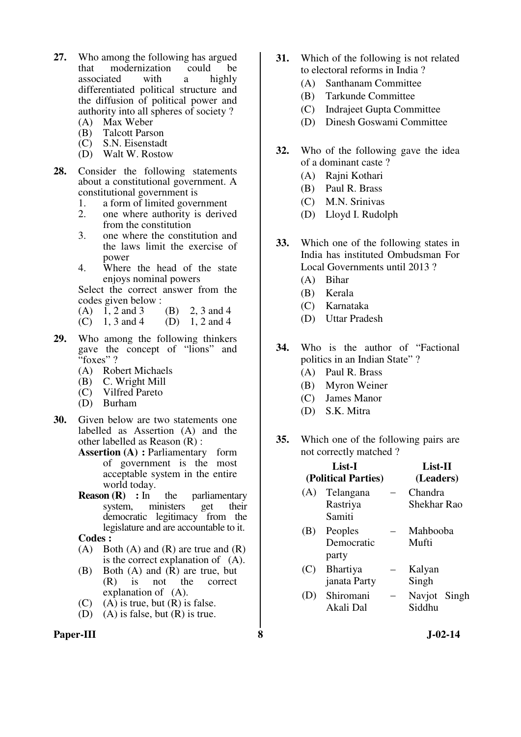- **27.** Who among the following has argued that modernization could be associated with a highly differentiated political structure and the diffusion of political power and authority into all spheres of society ?
	- (A) Max Weber
	- (B) Talcott Parson<br>(C) S.N. Eisenstadt
	- S.N. Eisenstadt
	- (D) Walt W. Rostow
- **28.** Consider the following statements about a constitutional government. A constitutional government is
	- 1. a form of limited government
	- 2. one where authority is derived from the constitution
	- 3. one where the constitution and the laws limit the exercise of power
	- 4. Where the head of the state enjoys nominal powers

 Select the correct answer from the codes given below :<br>(A)  $1, 2$  and  $3$  (B)  $2, 3$  and  $4$ 

- $(A)$  1, 2 and 3
- (C) 1, 3 and 4 (D) 1, 2 and 4
- **29.** Who among the following thinkers gave the concept of "lions" and "foxes"?
	- (A) Robert Michaels
	- (B) C. Wright Mill
	- (C) Vilfred Pareto
	- (D) Burham
- **30.** Given below are two statements one labelled as Assertion (A) and the other labelled as Reason (R) :
	- **Assertion (A) : Parliamentary** form of government is the most acceptable system in the entire world today.
	- **Reason (R)** : In the parliamentary system, ministers get their democratic legitimacy from the legislature and are accountable to it.
	- **Codes :**
	- (A) Both (A) and (R) are true and  $(R)$ is the correct explanation of (A).
	- (B) Both (A) and (R) are true, but<br>(R) is not the correct (R) is not the correct explanation of (A).
	- (C)  $(A)$  is true, but  $(R)$  is false.
	- (D) (A) is false, but (R) is true.

## Paper-III 8 **8** J-02-14

- **31.** Which of the following is not related to electoral reforms in India ?
	- (A) Santhanam Committee
	- (B) Tarkunde Committee
	- (C) Indrajeet Gupta Committee
	- (D) Dinesh Goswami Committee
- **32.** Who of the following gave the idea of a dominant caste ?
	- (A) Rajni Kothari
	- (B) Paul R. Brass
	- (C) M.N. Srinivas
	- (D) Lloyd I. Rudolph
- **33.** Which one of the following states in India has instituted Ombudsman For Local Governments until 2013 ?
	- (A) Bihar
	- (B) Kerala
	- (C) Karnataka
	- (D) Uttar Pradesh
- **34.** Who is the author of "Factional politics in an Indian State" ?
	- (A) Paul R. Brass
	- (B) Myron Weiner
	- (C) James Manor
	- (D) S.K. Mitra
- **35.** Which one of the following pairs are not correctly matched ?

|     | List-I              | List-II      |  |  |  |
|-----|---------------------|--------------|--|--|--|
|     | (Political Parties) | (Leaders)    |  |  |  |
| (A) | Telangana           | Chandra      |  |  |  |
|     | Rastriya            | Shekhar Rao  |  |  |  |
|     | Samiti              |              |  |  |  |
| (B) | Peoples             | Mahbooba     |  |  |  |
|     | Democratic          | Mufti        |  |  |  |
|     | party               |              |  |  |  |
| (C) | <b>Bhartiya</b>     | Kalyan       |  |  |  |
|     | janata Party        | Singh        |  |  |  |
| (D) | Shiromani           | Navjot Singh |  |  |  |
|     | Akali Dal           | Siddhu       |  |  |  |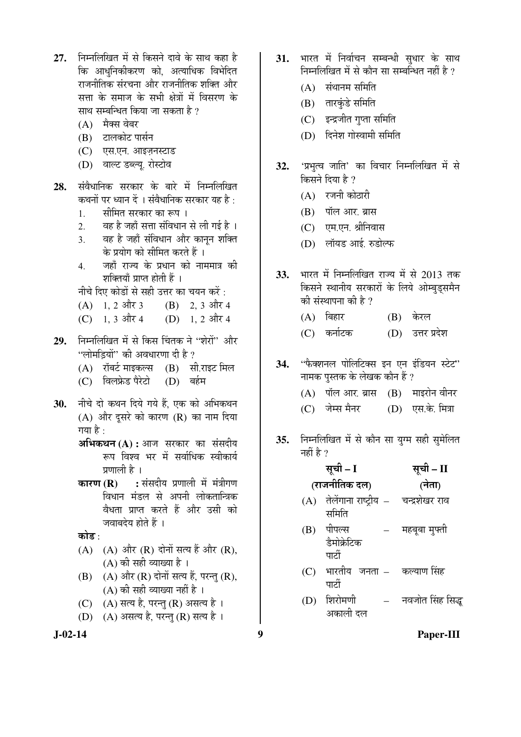- 27. ਜਿਸਗਿੰखित में से किसने दावे के साथ कहा है कि आधनिकीकरण को. अत्याधिक विभेदित राजनीतिक संरचना और राजनीतिक शक्ति और सत्ता के समाज के सभी क्षेत्रों में विसरण के साथ सम्बन्धित किया जा सकता है ?
	- $(A)$  मैक्स वेबर
	- $(B)$  टालकोट पार्सन
	- (C) एस.एन. आइज़नस्टाड
	- (D) वाल्ट डब्ल्यू. रोस्टोव
- 28. संवैधानिक सरकार के बारे में निम्नलिखित कथनों पर ध्यान दें । संवैधानिक सरकार यह है $\cdot$ 
	- 1. सीमित सरकार का रूप ।
	- 2. वह है जहाँ सत्ता संविधान से ली गई है ।
	- 3. वह है जहाँ संविधान और कानुन शक्ति के प्रयोग को सीमित करते हैं ।
	- 4. जहाँ राज्य के प्रधान को नाममात्र की शक्तियाँ प्राप्त होती हैं ।

नीचे दिए कोडों से सही उत्तर का चयन करें:

- $(A)$  1, 2 और 3 (B) 2, 3 और 4
- (C)  $1, 3$  और 4 (D)  $1, 2$  और 4
- 29. ਜਿਸਗਿਰਿਕ में से किस चिंतक ने "शेरों" और  $\cdot$  'लोमडियों'' की अवधारणा दी है ?
	- $(A)$  रॉबर्ट माइकल्स  $(B)$  सी.राइट मिल
	- (C) विलफ्रेड पैरेटो (D) बर्हम
- 30. **नीचे दो कथन दिये गये हैं, एक को अभिकथ**न  $(A)$  और दसरे को कारण  $(R)$  का नाम दिया गया है $\cdot$ 
	- **अभिकथन (A) :** आज सरकार का संसदीय रूप विश्व भर में सर्वाधिक स्वीकार्य प्रणाली है ।
	- **कारण (R) :** संसदीय प्रणाली में मंत्रीगण विधान मंडल से अपनी लोकतान्त्रिक वैधता प्राप्त करते हैं और उसी को जवाबदेय होते हैं ।

कोड :

- $(A)$   $(A)$  और  $(R)$  दोनों सत्य हैं और  $(R)$ ,  $(A)$  की सही व्याख्या है।
- $(B)$   $(A)$  और  $(R)$  दोनों सत्य हैं, परन्तु  $(R)$ ,  $(A)$  की सही व्याख्या नहीं है ।
- (C) (A) सत्य है, परन्तु (R) असत्य है।
- (D) (A) असत्य है, परन्तु (R) सत्य है।
- 31. भारत में निर्वाचन सम्बन्धी सधार के साथ निम्नलिखित में से कौन सा सम्बन्धित नहीं है ?
	- $(A)$  संथानम समिति
	- (B) तारकुंडे समिति
	- (C) इन्द्रजीत गुप्ता समिति
	- (D) दिनेश गोस्वामी समिति
- 32. 'प्रभुत्व जाति' का विचार निम्नलिखित में से किसने दिया है  $\overline{v}$ 
	- $(A)$  रजनी कोठारी
	- (B) पॉल आर. ब्रास
	- (C) एम.एन. श्रीनिवास
	- $(D)$  लॉयड आई. रुडोल्फ
- 33. भारत में निम्नलिखित राज्य में से 2013 तक किसने स्थानीय सरकारों के लिये ओम्बडसमैन की संस्थापना की है ?
	- (A) बिहार (B) केरल
	- (C) कर्नाटक (D) उत्तर प्रदेश
- 34. "फैक्शनल पोलिटिक्स इन एन इंडियन स्टेट" नामक पुस्तक के लेखक कौन हैं ?
	- $(A)$  पॉल आर. ब्रास  $(B)$  माइरोन वीनर
	- (C) जेम्स मैनर (D) एस.के. मित्रा
- 35. निम्नलिखित में से कौन सा युग्म सही सुमेलित नहीं है ?

|     | सूची – I                                          | सूची – II        |
|-----|---------------------------------------------------|------------------|
|     | (राजनीतिक दल)                                     | (नेता)           |
|     | (A) तेलेंगाना राष्ट्रीय – वन्द्रशेखर राव<br>समिति |                  |
| (B) | पीपल्स<br>डैमोक्रेटिक<br>पार्टी                   | महबूबा मुफ्ती    |
| (C) | भारतीय जनता – कल्याण-सिंह<br>पार्टी               |                  |
| (D) | शिरोमणी<br>अकाली दल                               | नवजोत सिंह सिद्ध |

**J-02-14 9 Paper-III**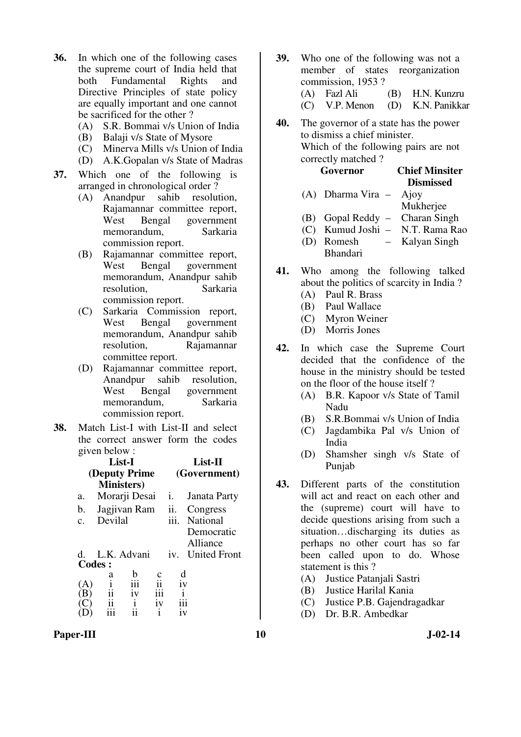- **36.** In which one of the following cases the supreme court of India held that both Fundamental Rights and Directive Principles of state policy are equally important and one cannot be sacrificed for the other ?
	- (A) S.R. Bommai v/s Union of India
	- (B) Balaji v/s State of Mysore
	- (C) Minerva Mills v/s Union of India
	- (D) A.K.Gopalan v/s State of Madras
- **37.** Which one of the following is arranged in chronological order ?
	- (A) Anandpur sahib resolution, Rajamannar committee report, West Bengal government memorandum, Sarkaria commission report.
	- (B) Rajamannar committee report, West Bengal government memorandum, Anandpur sahib resolution, Sarkaria commission report.
	- (C) Sarkaria Commission report, West Bengal government memorandum, Anandpur sahib resolution, Rajamannar committee report.
	- (D) Rajamannar committee report, Anandpur sahib resolution, West Bengal government memorandum, Sarkaria commission report.
- **38.** Match List-I with List-II and select the correct answer form the codes given below :

| List-I<br>(Deputy Prime<br><b>Ministers</b> ) |               |                |                     |      | List-II<br>(Government) |
|-----------------------------------------------|---------------|----------------|---------------------|------|-------------------------|
| a.                                            | Morarji Desai |                |                     | i.   | Janata Party            |
| b.                                            | Jagjivan Ram  |                |                     | ii.  | Congress                |
| $\mathbf{C}$ .                                | Devilal       |                |                     | iii. | National                |
|                                               |               |                |                     |      | Democratic<br>Alliance  |
| d.                                            | L.K. Advani   |                |                     | iv.  | <b>United Front</b>     |
| <b>Codes:</b>                                 |               |                |                     |      |                         |
|                                               | a             | b              |                     |      | d                       |
| (A)                                           | i             | iii            | $\overline{\rm ii}$ |      | iv                      |
| ΈF)                                           | ii            | iv             | iii                 |      | i                       |
| $\mathbf{C}^{\prime}$                         |               | $\frac{i}{ii}$ | iv                  |      | iii                     |
|                                               |               |                | i                   |      | 1V                      |

- **39.** Who one of the following was not a member of states reorganization commission, 1953 ? (A) Fazl Ali (B) H.N. Kunzru (C) V.P. Menon (D) K.N. Panikkar
- **40.** The governor of a state has the power to dismiss a chief minister. Which of the following pairs are not correctly matched ?

| Governor                       |               | <b>Chief Minsiter</b>           |
|--------------------------------|---------------|---------------------------------|
|                                |               | <b>Dismissed</b>                |
| $(A)$ Dharma Vira $-$ Ajoy     |               |                                 |
|                                |               | Mukherjee                       |
| (B) Gopal Reddy – Charan Singh |               |                                 |
|                                |               | (C) Kumud Joshi - N.T. Rama Rao |
| (D) Romesh                     | $\frac{1}{2}$ | Kalyan Singh                    |

- Bhandari
- **41.** Who among the following talked about the politics of scarcity in India ?
	- (A) Paul R. Brass
	- (B) Paul Wallace
	- (C) Myron Weiner
	- (D) Morris Jones
- **42.** In which case the Supreme Court decided that the confidence of the house in the ministry should be tested on the floor of the house itself ?
	- (A) B.R. Kapoor v/s State of Tamil Nadu
	- (B) S.R.Bommai v/s Union of India
	- (C) Jagdambika Pal v/s Union of India
	- (D) Shamsher singh v/s State of Punjab
- **43.** Different parts of the constitution will act and react on each other and the (supreme) court will have to decide questions arising from such a situation…discharging its duties as perhaps no other court has so far been called upon to do. Whose statement is this ?
	- (A) Justice Patanjali Sastri
	- (B) Justice Harilal Kania
	- (C) Justice P.B. Gajendragadkar
	- (D) Dr. B.R. Ambedkar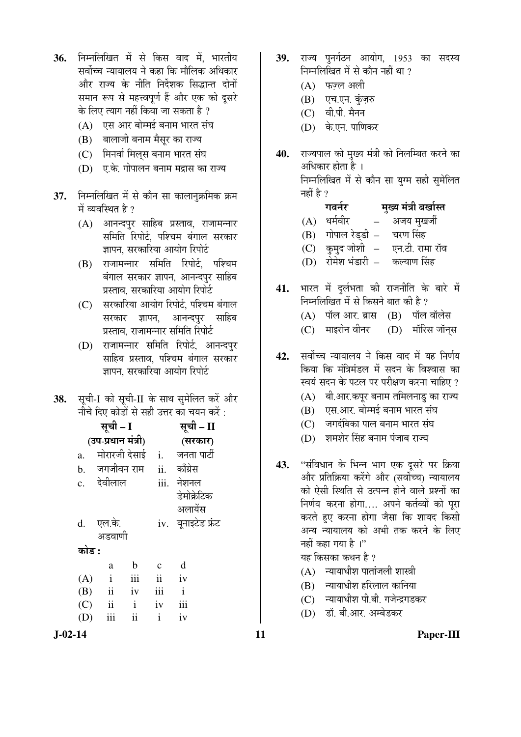- 36. निम्नलिखित में से किस वाद में भारतीय सर्वोच्च न्यायालय ने कहा कि मौलिक अधिकार ओर राज्य के नीति निर्देशक सिद्धान्त दोनों समान रूप से महत्त्वपूर्ण हैं और एक को दूसरे के लिए त्याग नहीं किया जा सकता है ?
	- (A) एस आर बोम्मई बनाम भारत संघ
	- (B) बालाजी बनाम मैसुर का राज्य
	- (C) मिनर्वा मिलस बनाम भारत संघ
	- $(D)$   $\bar{U}$ के. गोपालन बनाम मद्रास का राज्य
- **37.** निम्नलिखित में से कौन सा कालानुक्रमिक क्रम में व्यवस्थित है ?
	- (A) आनन्दपुर साहिब प्रस्ताव, राजामन्नार समिति रिपोर्ट. पश्चिम बंगाल सरकार ज्ञापन, सरकारिया आयोग रिपोर्ट
	- (B) राजामन्नार समिति रिपोर्ट, पश्चिम बंगाल सरकार ज्ञापन, आनन्दपुर साहिब प्रस्ताव, सरकारिया आयोग रिपोर्ट
	- $(C)$  सरकारिया आयोग रिपोर्ट. पश्चिम बंगाल सरकार ज्ञापन, आनन्दपुर साहिब प्रस्ताव, राजामन्नार समिति रिपोर्ट
	- (D) राजामन्नार समिति रिपोर्ट, आनन्दपुर साहिब प्रस्ताव, पश्चिम बंगाल सरकार ज्ञापन. सरकारिया आयोग रिपोर्ट
- 38. सृची-I को सृची-II के साथ सुमेलित करें और नीचे दिए कोडों से सही उत्तर का चयन करें $\,$ :

|    |       | सूची – I            |                    | सूची – II     |                              |
|----|-------|---------------------|--------------------|---------------|------------------------------|
|    |       |                     | (उप-प्रधान मंत्री) |               | (सरकार)                      |
| a. |       |                     |                    |               | मोरारजी देसाई i. जनता पार्टी |
|    |       |                     | b. जगजीवन राम ii.  |               | काँग्रेस                     |
|    |       | c. देवीलाल          |                    |               | iii. नेशनल                   |
|    |       |                     |                    |               | डेमोक्रेटिक                  |
|    |       |                     |                    |               | अलायेंस                      |
|    |       | d. एल.के.           |                    |               | iv. युनाइटेड फ्रंट           |
|    |       | अडवाणी              |                    |               |                              |
|    | कोड : |                     |                    |               |                              |
|    |       | a                   | $\mathbf b$        | $\mathbf{C}$  | d                            |
|    | (A)   | $\mathbf{i}$        | iii                | $\mathbf{ii}$ | iv                           |
|    | (B)   | $\ddot{\mathbf{i}}$ | iv                 | iii           | $\mathbf{i}$                 |
|    |       | $(C)$ ii            | $\mathbf{i}$       | iv            | iii                          |
|    | (D)   | iii                 | $\mathbf{ii}$      | $\mathbf{i}$  | iv                           |
|    |       |                     |                    |               |                              |

- 39. राज्य पनर्गठन आयोग, 1953 का सदस्य निम्नलिखित में से कौन नहीं था ?
	- $(A)$  फज़्ल अली
	- (B) एच.एन. कुंज़रु
	- $(C)$  वी.पी. मैनन
	- (D) के.एन. पाणिकर
- 40. राज्यपाल को मुख्य मंत्री को निलम्बित करने का अधिकार होता है । निम्नलिखित में से कौन सा युग्म सही सुमेलित नहीं है ?

|     | गवर्नर                      | मुख्य मंत्री बर्खास्त |
|-----|-----------------------------|-----------------------|
| (A) | धर्मवीर                     | अजय मुखर्जी           |
|     | (B) गोपाल रेड्डी – चरण सिंह |                       |
| (C) | कुमुद जोशी   –              | एन.टी. रामा रॉव       |
|     | (D) रोमेश भंडारी -          | कल्याण सिंह           |
|     |                             |                       |

- 41. भारत में दुर्लभता की राजनीति के बारे में निम्नलिखित में से किसने बात की है ?  $(A)$  पॉल आर. ब्रास  $(B)$  पॉल वॉलेस
	-
	- (C) माइरोन वीनर (D) मॉरिस जॉन्स
- 42. सर्वोच्च न्यायालय ने किस वाद में यह निर्णय किया कि मंत्रिमंडल में सदन के विश्वास का स्वयं सदन के पटल पर परीक्षण करना चाहिए ?
	- $(A)$  वी.आर.कपुर बनाम तमिलनाडु का राज्य
	- (B) एस.आर. बोम्मई बनाम भारत संघ
	- $(C)$  जगदंबिका पाल बनाम भारत संघ
	- (D) शमशेर सिंह बनाम पंजाब राज्य
- 43. "संविधान के भिन्न भाग एक दूसरे पर क्रिया और प्रतिक्रिया करेंगे और (सर्वोच्च) न्यायालय को ऐसी स्थिति से उत्पन्न होने वाले प्रश्नों का निर्णय करना होगा.... अपने कर्तव्यों को पूरा करते हुए करना होगा जैसा कि शायद किसी अन्य न्यायालय को अभी तक करने के लिए नहीं कहा गया है<sup>1</sup>

यह किसका कथन है ?

- $(A)$  न्यायाधीश पातांजली शास्त्री
- $(B)$  न्यायाधीश हरिलाल कानिया
- (C) न्यायाधीश पी.बी. गजेन्द्रगडकर
- (D) डॉ. बी.आर. अम्बेडकर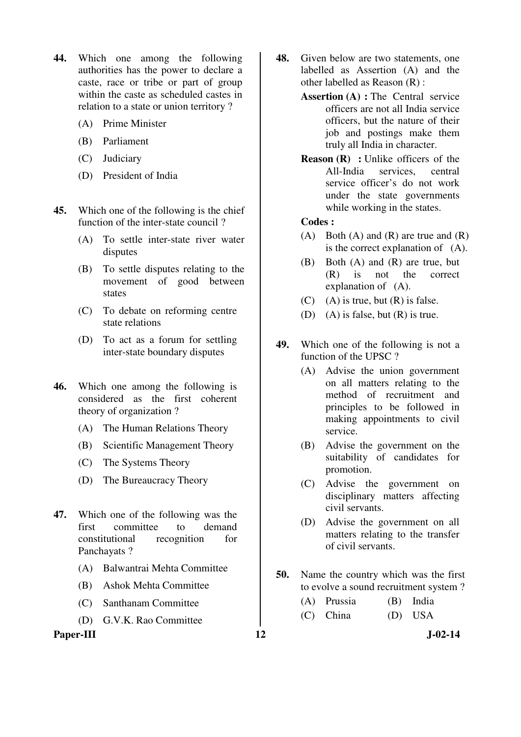- **44.** Which one among the following authorities has the power to declare a caste, race or tribe or part of group within the caste as scheduled castes in relation to a state or union territory ?
	- (A) Prime Minister
	- (B) Parliament
	- (C) Judiciary
	- (D) President of India
- **45.** Which one of the following is the chief function of the inter-state council ?
	- (A) To settle inter-state river water disputes
	- (B) To settle disputes relating to the movement of good between states
	- (C) To debate on reforming centre state relations
	- (D) To act as a forum for settling inter-state boundary disputes
- **46.** Which one among the following is considered as the first coherent theory of organization ?
	- (A) The Human Relations Theory
	- (B) Scientific Management Theory
	- (C) The Systems Theory
	- (D) The Bureaucracy Theory
- **47.** Which one of the following was the first committee to demand constitutional recognition for Panchayats ?
	- (A) Balwantrai Mehta Committee
	- (B) Ashok Mehta Committee
	- (C) Santhanam Committee
	- (D) G.V.K. Rao Committee

#### Paper-III **12** J-02-14

- **48.** Given below are two statements, one labelled as Assertion (A) and the other labelled as Reason (R) :
	- **Assertion (A) :** The Central service officers are not all India service officers, but the nature of their job and postings make them truly all India in character.
	- **Reason (R)** : Unlike officers of the All-India services, central service officer's do not work under the state governments while working in the states.

#### **Codes :**

- (A) Both (A) and (R) are true and  $(R)$ is the correct explanation of (A).
- (B) Both (A) and (R) are true, but (R) is not the correct explanation of (A).
- $(C)$  (A) is true, but  $(R)$  is false.
- (D) (A) is false, but (R) is true.
- **49.** Which one of the following is not a function of the UPSC ?
	- (A) Advise the union government on all matters relating to the method of recruitment and principles to be followed in making appointments to civil service.
	- (B) Advise the government on the suitability of candidates for promotion.
	- (C) Advise the government on disciplinary matters affecting civil servants.
	- (D) Advise the government on all matters relating to the transfer of civil servants.
- **50.** Name the country which was the first to evolve a sound recruitment system ?
	- (A) Prussia (B) India
	- (C) China (D) USA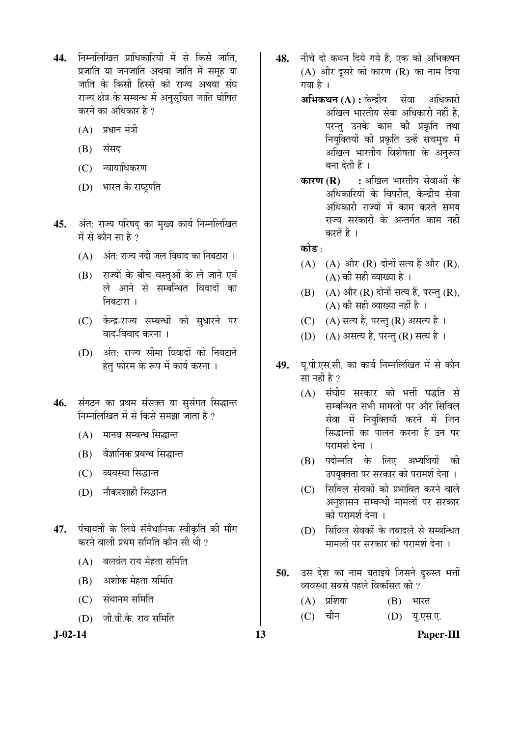- **44.** ×®Ö´®Ö×»Ö×ÜÖŸÖ ¯ÖÏÖ׬ÖÛúÖ׸üµÖÖë ´Öë ÃÖê ×ÛúÃÖê •ÖÖןÖ, प्रजाति या जनजाति अथवा जाति में समह या <u>जाति के किसी हिस्से को राज्य अथवा संघ</u> राज्य क्षेत्र के सम्बन्ध में अनुसूचित जाति घोषित करने का अधिकार है ?
	- $(A)$  प्रधान मंत्री
	- $(B)$  संसद
	- (C) न्यायाधिकरण
	- (D) भारत के राष्ट्रपति
- 45. अंत: राज्य परिषद का मुख्य कार्य निम्नलिखित में से कौन सा $\boldsymbol{\hat{z}}$  ?
	- $(A)$  अंत: राज्य नदी जल विवाद का निबटारा ।
	- (B) राज्यों के बीच वस्तुओं के ले जाने एवं ले आने से सम्बन्धित विवादों का निबटारा ।
	- (C) केन्द्र-राज्य सम्बन्धों को सुधारने पर वाद-विवाद करना ।
	- (D) अंत: राज्य सीमा विवादों को निबटाने हेत् फोरम के रूप में कार्य करना ।
- 46. संगठन का प्रथम संसक्त या सुसंगत सिद्धान्त निम्नलिखित में से किसे समझा जाता है ?
	- (A) मानव सम्बन्ध सिद्धान्त
	- (B) वैज्ञानिक प्रबन्ध सिद्धान्त
	- (C) व्यवस्था सिद्धान्त
	- (D) नौकरशाही सिद्धान्त
- 47. पंचायतों के लिये संवैधानिक स्वीकृति की माँग करने वाली प्रथम समिति कौन सी थी  $\overline{v}$ 
	- $(A)$  बलवंत राय मेहता समिति
	- $(B)$  अशोक मेहता समिति
	- $(C)$  संथानम समिति
	- (D) जी.वी.के. राव समिति

**J-02-14 13 Paper-III**

- 48. नीचे दो कथन दिये गये हैं. एक को अभिकथन  $(A)$  और दुसरे को कारण  $(R)$  का नाम दिया गया है ।
	- **अभिकथन (A) :** केन्द्रीय सेवा अधिकारी अखिल भारतीय सेवा अधिकारी नहीं हैं. परन्तु उनके काम की प्रकृति तथा नियुक्तियों की प्रकृति उन्हें सचमुच में अखिल भारतीय विशेषता के अनुरूप बना देती हैं ।
	- **कारण (R) :** अखिल भारतीय सेवाओं के अधिकारियों के विपरीत, केन्द्रीय सेवा अधिकारी राज्यों में काम करते समय राज्य सरकारों के अन्तर्गत काम नहीं करतें हैं ।

कोड $\cdot$ 

- $(A)$   $(A)$  और  $(R)$  दोनों सत्य हैं और  $(R)$ .  $(A)$  की सही व्याख्या है ।
- $(B)$   $(A)$  और  $(R)$  दोनों सत्य हैं, परन्तु  $(R)$ ,  $(A)$  की सही व्याख्या नहीं है ।
- $(C)$   $(A)$  सत्य है. परन्त  $(R)$  असत्य है ।
- (D) (A) असत्य है, परन्तु (R) सत्य है।
- 49. यू.पी.एस.सी. का कार्य निम्नलिखित में से कौन सा नहीं है ?
	- $(A)$  संघीय सरकार को भर्त्ती पद्धति से सम्बन्धित सभी मामलों पर और सिविल सेवा में नियुक्तियाँ करने में जिन सिद्धान्तों का पालन करना है उन पर परामर्श देना ।
	- (B) पदोन्नति के लिए अभ्यर्थियों की उपयुक्तता पर सरकार को परामर्श देना ।
	- (C) सिविल सेवकों को प्रभावित करने वाले अनुशासन सम्बन्धी मामलों पर सरकार को परामर्श देना ।
	- (D) सिविल सेवकों के तबादले से सम्बन्धित .<br>मामलों पर सरकार को परामर्श देना ।
- 50. उस देश का नाम बताइये जिसने दुरुस्त भर्ती व्यवस्था सबसे पहले विकसित की ?
	- $(A)$  प्रशिया  $(B)$  भारत
	- (C) चीन (D) यू.एस.ए.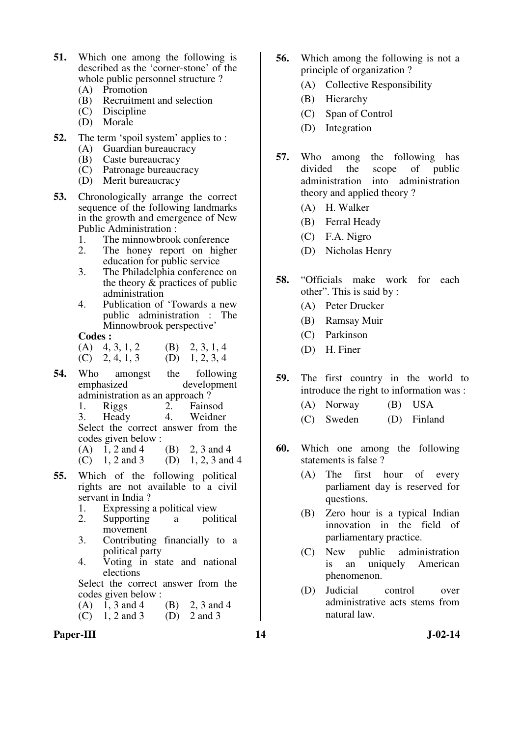- **51.** Which one among the following is described as the 'corner-stone' of the whole public personnel structure ?
	- (A) Promotion
	- (B) Recruitment and selection
	- (C) Discipline
	- (D) Morale
- **52.** The term 'spoil system' applies to : (A) Guardian bureaucracy
	-
	- (B) Caste bureaucracy
	- (C) Patronage bureaucracy
	- (D) Merit bureaucracy
- **53.** Chronologically arrange the correct sequence of the following landmarks in the growth and emergence of New Public Administration :
	- 1. The minnowbrook conference<br>2. The honey report on higher
	- The honey report on higher education for public service
	- 3. The Philadelphia conference on the theory & practices of public administration
	- 4. Publication of 'Towards a new public administration : The Minnowbrook perspective'
	- **Codes :**<br>(A)  $4, 3, 1, 2$
	- (B) 2, 3, 1, 4<br>(D) 1, 2, 3, 4  $(C)$  2, 4, 1, 3
- **54.** Who amongst the following emphasized development administration as an approach?<br>1. Riggs 2. Fains
	- 2. Fainsod<br>4. Weidner

 3. Heady 4. Weidner Select the correct answer from the codes given below :

- (A)  $1, 2$  and  $4$  (B)  $2, 3$  and  $4$
- (C)  $1, 2$  and 3 (D)  $1, 2, 3$  and 4
- **55.** Which of the following political rights are not available to a civil servant in India ?
	- 1. Expressing a political view
	- 2. Supporting a political movement
	- 3. Contributing financially to a political party
	- 4. Voting in state and national elections

 Select the correct answer from the codes given below :

(A)  $\overline{1}$ , 3 and 4 (B) 2, 3 and 4<br>(C) 1, 2 and 3 (D) 2 and 3  $(C)$  1, 2 and 3

- **56.** Which among the following is not a principle of organization ?
	- (A) Collective Responsibility
	- (B) Hierarchy
	- (C) Span of Control
	- (D) Integration
- **57.** Who among the following has divided the scope of public administration into administration theory and applied theory ?
	- (A) H. Walker
	- (B) Ferral Heady
	- (C) F.A. Nigro
	- (D) Nicholas Henry
- **58.** "Officials make work for each other". This is said by :
	- (A) Peter Drucker
	- (B) Ramsay Muir
	- (C) Parkinson
	- (D) H. Finer
- **59.** The first country in the world to introduce the right to information was :
	- (A) Norway (B) USA
	- (C) Sweden (D) Finland
- **60.** Which one among the following statements is false ?
	- (A) The first hour of every parliament day is reserved for questions.
	- (B) Zero hour is a typical Indian innovation in the field of parliamentary practice.
	- (C) New public administration is an uniquely American phenomenon.
	- (D) Judicial control over administrative acts stems from natural law.

Paper-III **14** J-02-14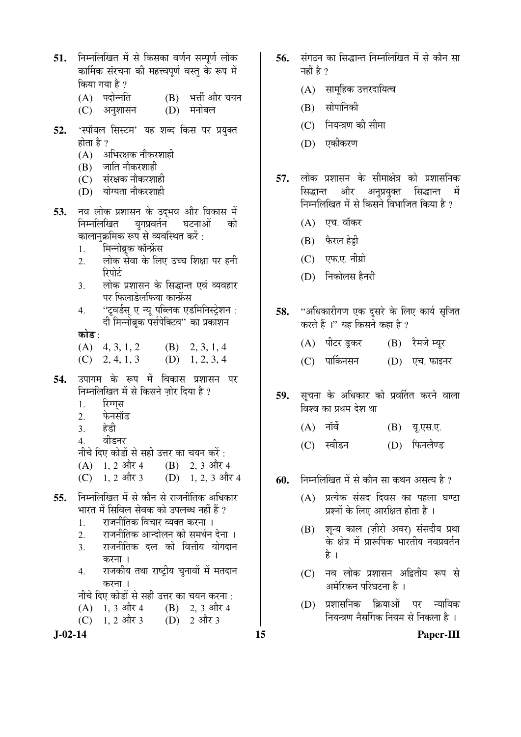- **51.** निम्नलिखित में से किसका वर्णन सम्पर्ण लोक कार्मिक संरचना की महत्त्वपर्ण वस्त के रूप में किया गया है ?
	- (A) पदोन्नति (B) भर्त्ती और चयन<br>(C) अनुशासन (D) मनोबल
	- (C) अनुशासन
- 52. 'स्पॉयल सिस्टम' यह शब्द किस पर प्रयुक्त होता है ?
	- $(A)$  अभिरक्षक नौकरशाही
	- $(B)$  जाति नौकरशाही
	- $(C)$  संरक्षक नौकरशाही
	- (D) योग्यता नौकरशाही
- **53.** नव लोक प्रशासन के उद्भव और विकास में निम्नलिखित युगप्रवर्तन<sup>े</sup> घटनाओं को कालानुक्रमिक रूप से व्यवस्थित करें :
	- 1. मिन्नोब्रूक कॉन्फ्रेंस
	- 2. लोक सेवा के लिए उच्च शिक्षा पर हनी रिपोर्ट
	- <u>3. लोक प्रशासन के सिद्धान्त एवं व्यवहार</u> पर फिलाडेलफिया कान्फ्रेंस
	- 4. "टूवर्डस् ए न्यू पब्लिक एडमिनिस्ट्रेशन : दी मिन्नोब्रूक पर्सपेक्टिव'' का प्रकाशन

#### कोड़ $\cdot$

- $(A)$  4, 3, 1, 2 (B) 2, 3, 1, 4  $(C)$  2, 4, 1, 3 (D) 1, 2, 3, 4
- **54.** उपागम के रूप में विकास प्रशासन पर निम्नलिखित में से किसने ज़ोर दिया है ?
	- 1. रिग्गुस
	- 2. फेनसॉड
	- 3. हेडी
	- 4. वीडनर
	- नीचे दिए कोडों से सही उत्तर का चयन करें :<br>(A) 1. 2 और 4 (B) 2. 3 और ·
	- $(B)$  2, 3 और 4
	- (C)  $1, 2$  और 3 (D)  $1, 2, 3$  और 4
- **55.** निम्नलिखित में से कौन से राजनीतिक अधिकार <u>भारत में सिविल सेवक को उपलब्ध नहीं हैं ?</u>
	- <u>1</u>. राजनीतिक विचार व्यक्त करना ।
	- 2. राजनीतिक आन्दोलन को समर्थन देना ।
	- 3. राजनीतिक दल को वित्तीय योगदान करना ।
	- 4. राजकीय तथा राष्ट्रीय चुनावों में मतदान करना ।
	- नीचे दिए कोडों से सही उत्तर का चयन करना :
	- $(A)$  1, 3 और 4  $(B)$  2, 3 और 4
	- (C)  $1, 2$  और 3 (D) 2 और 3

- 56. संगठन का सिद्धान्त निम्नलिखित में से कौन सा नहीं है  $\gamma$ 
	- (A) सामूहिक उत्तरदायित्व
	- $(B)$  सोपानिकी
	- (C) नियन्त्रण की सीमा
	- (D) एकीकरण
- 57. लोक प्रशासन के सीमाक्षेत्र को प्रशासनिक ः<br>सिद्धान्त और अन्**प्रयुक्त सिद्धान्त में** निम्नलिखित में से किसने विभाजित किया है ?
	- $(A)$  एच. वॉकर
	- $(B)$  फैरल हेड्डी
	- $(C)$  एफ.ए. नीग्रो
	- $(D)$  निकोलस हैनरी
- 58. "अधिकारीगण एक दसरे के लिए कार्य सुजित करते हैं।" यह किसने कहा है ?
	- (A) पीटर इकर (B) रैमजे म्युर
	- (C) पार्किनसन (D) एच. फाइनर
- 59. सूचना के अधिकार को प्रवर्तित करने वाला विश्व का प्रथम देश था
	- $(A)$  नॉर्वे  $(B)$  यू.एस.ए.
	- (C) स्वीडन (D) फिनलैण्ड
- **60.** निम्नलिखित में से कौन सा कथन असत्य है ?
	- $(A)$  प्रत्येक संसद दिवस का पहला घण्टा प्रश्नों के लिए आरक्षित होता है ।
	- (B) शून्य काल (ज़ीरो अवर) संसदीय प्रथा के क्षेत्र में प्रारूपिक भारतीय नवप्रवर्तन है ।
	- (C) नव लोक प्रशासन अद्वितीय रूप से आमेरिकन परिघटना है)।
	- (D) प्रशासनिक क्रियाओं पर न्यायिक नियन्त्रण नैसर्गिक नियम से निकला है ।

**J-02-14 15 Paper-III**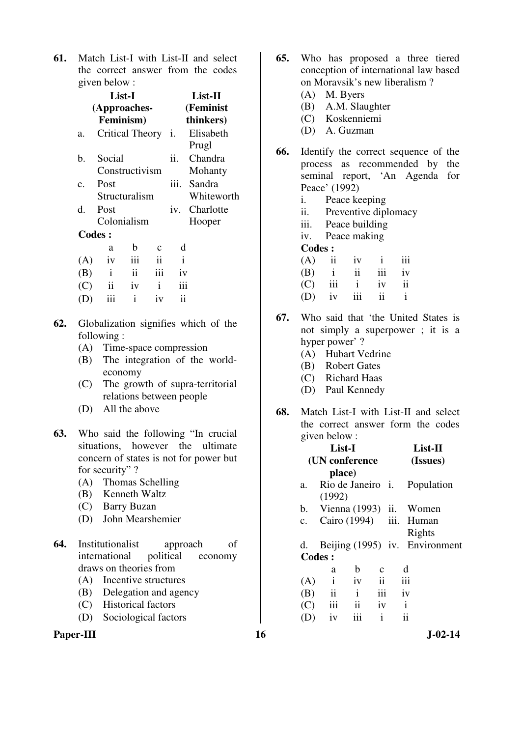**61.** Match List-I with List-II and select the correct answer from the codes given below :

|                 | List-I<br>(Approaches-<br>Feminism) |               | List-II<br>(Feminist<br>thinkers) |      |                      |
|-----------------|-------------------------------------|---------------|-----------------------------------|------|----------------------|
| a.              | <b>Critical Theory</b>              |               |                                   | -1.  | Elisabeth<br>Prugl   |
| b.              | Social<br>Constructivism            |               |                                   | ii.  | Chandra<br>Mohanty   |
| $\mathcal{C}$ . | Post<br>Structuralism               |               |                                   | iii. | Sandra<br>Whiteworth |
| d.              | Post<br>Colonialism                 |               |                                   | iv.  | Charlotte<br>Hooper  |
| <b>Codes:</b>   |                                     |               |                                   |      |                      |
|                 | a                                   | b             | C                                 | d    |                      |
| (A)             | iv                                  | iii           | ii                                | i    |                      |
| (B)             | $\mathbf{i}$                        | $\mathbf{ii}$ | iii                               | iv   |                      |
| (C)             | ii                                  | iv            | $\mathbf{i}$                      | iii  |                      |
| (D)             | iii                                 | $\mathbf{i}$  | iv                                | ii   |                      |

- **62.** Globalization signifies which of the following :
	- (A) Time-space compression
	- (B) The integration of the worldeconomy
	- (C) The growth of supra-territorial relations between people
	- (D) All the above
- **63.** Who said the following "In crucial situations, however the ultimate concern of states is not for power but for security"?
	- (A) Thomas Schelling
	- (B) Kenneth Waltz
	- (C) Barry Buzan
	- (D) John Mearshemier
- **64.** Institutionalist approach of international political economy draws on theories from
	- (A) Incentive structures
	- (B) Delegation and agency
	- (C) Historical factors
	- (D) Sociological factors

## Paper-III **16** J-02-14

- **65.** Who has proposed a three tiered conception of international law based on Moravsik's new liberalism ?
	- (A) M. Byers
	- (B) A.M. Slaughter
	- (C) Koskenniemi
	- (D) A. Guzman
- **66.** Identify the correct sequence of the process as recommended by the seminal report, 'An Agenda for Peace' (1992)
	- i. Peace keeping
	- ii. Preventive diplomacy
	- iii. Peace building
	- iv. Peace making
	- **Codes :**
- $(A)$  ii iv i iii  $(B)$  i ii iii iv (C) iii i iv ii  $(D)$  iv iii ii i
- **67.** Who said that 'the United States is not simply a superpower ; it is a hyper power' ?
	- (A) Hubart Vedrine
	- (B) Robert Gates
	- (C) Richard Haas
	- (D) Paul Kennedy
- **68.** Match List-I with List-II and select the correct answer form the codes given below :

| List-I         |                                |                         |               |        | $List-II$  |  |
|----------------|--------------------------------|-------------------------|---------------|--------|------------|--|
|                | (UN conference                 |                         |               |        | (Issues)   |  |
|                | place)                         |                         |               |        |            |  |
| a.             | Rio de Janeiro i.              |                         |               |        | Population |  |
|                | (1992)                         |                         |               |        |            |  |
|                | b. Vienna (1993) ii.           |                         |               |        | Women      |  |
| $\mathbf{c}$ . | Cairo (1994) iii. Human        |                         |               |        |            |  |
|                |                                |                         |               | Rights |            |  |
| d.             | Beijing (1995) iv. Environment |                         |               |        |            |  |
|                | <b>Codes:</b>                  |                         |               |        |            |  |
|                | a                              | b                       | $\mathbf c$   | d      |            |  |
| (A)            | $\rm i$                        | iv                      | $\mathbf{ii}$ | iii    |            |  |
| (B)            | $\mathbf{ii}$                  | $\mathbf{i}$            | iii           | iv     |            |  |
| (C)            | iii                            | $\overline{\mathbf{1}}$ | iv            | i      |            |  |
|                | iv                             | iii                     | $\mathbf{i}$  | ii     |            |  |
|                |                                |                         |               |        |            |  |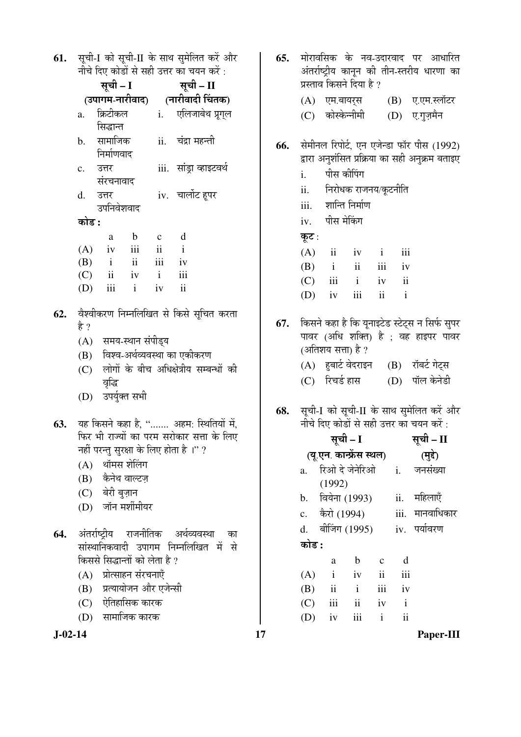| 61. सूची-I को सूची-II के साथ सुमेलित करें और |  |
|----------------------------------------------|--|
| नीचे दिए कोडों से सही उत्तर का चयन करें :    |  |

|                                | गांव ।५ए काडा स सहा उत्तर का वंबन कर :     |
|--------------------------------|--------------------------------------------|
| सूची – I                       | सूची – II                                  |
|                                | (उपागम-नारीवाद) (नारीवादी चिंतक)           |
| क्रिटीकल<br>a.                 | i. एलिजाबेथ प्रूग् <b>ल</b>                |
| सिद्धान्त                      |                                            |
| b. सामाजिक                     | ii. चंद्रा महन्ती                          |
| निर्माणवाद                     |                                            |
| c. उत्तर                       | iii.  सांड्रा व्हाइटवर्थ                   |
| संरचनावाद                      |                                            |
| उत्तर<br>d.                    | iv. चार्लोट हूपर                           |
| उपनिवेशवाद                     |                                            |
| कोड :                          |                                            |
|                                |                                            |
| $\mathbf{b}$<br>a              | $\mathbf d$<br>$\mathbf{c}$                |
| $(A)$ iv iii                   | $\mathbf{ii}$<br>$\mathbf{i}$              |
| $(B)$ i ii                     | iii iv                                     |
| $(C)$ ii iv                    | $\mathbf{i}$<br>iii                        |
| $(D)$ iii i                    | $\overline{\mathbf{u}}$<br>iv              |
|                                |                                            |
|                                | वैश्वीकरण निम्नलिखित से किसे सूचित करता    |
| है ?                           |                                            |
| (A) समय-स्थान संपीड्य          |                                            |
|                                | (B) विश्व-अर्थव्यवस्था का एकीकरण           |
|                                | (C) लोगों के बीच अधिक्षेत्रीय सम्बन्धों की |
| वृद्धि                         |                                            |
| (D) उपर्युक्त सभी              |                                            |
|                                |                                            |
|                                | यह किसने कहा है, " अहम: स्थितियों में,     |
|                                | फिर भी राज्यों का परम सरोकार सत्ता के लिए  |
|                                | नहीं परन्तु सुरक्षा के लिए होता है।" ?     |
| (A) थॉमस शेलिंग                |                                            |
| (B) कैनेथ वाल्टज़              |                                            |
| (C) बेरी बुज़ान                |                                            |
| (D) जॉन मर्शीमीयर              |                                            |
|                                |                                            |
|                                | अंतर्राष्ट्रीय राजनीतिक अर्थव्यवस्था का    |
|                                | सांस्थानिकवादी उपागम निम्नलिखित में से     |
| किससे सिद्धान्तों को लेता है ? |                                            |
| (A) प्रोत्साहन संरचनाएँ        |                                            |
| (B) प्रत्यायोजन और एजेन्सी     |                                            |
|                                |                                            |
| (C) ऐतिहासिक कारक              |                                            |
| (D) सामाजिक कारक               |                                            |

 $J-02-14$ 

62.

63.

64.

मोरावसिक के नव-उदारवाद पर आधारित 65. अंतर्राष्टीय कानन की तीन-स्तरीय धारणा का प्रस्ताव किसने दिया है ? (A) एम.बायर्स (B) ए.एम.स्लॉटर (C) कोस्केन्नीमी (D) ए.गुज़मैन सेमीनल रिपोर्ट, एन एजेन्डा फॉर पीस (1992) 66. द्वारा अनशंसित प्रक्रिया का सही अनक्रम बताइए पीस कीपिंग  $\mathbf{i}$ . निरोधक राजनय/कूटनीति  $\ddot{\mathbf{i}}$ शान्ति निर्माण iii. पीस मेकिंग iv. कुट:  $(A)$  $\overline{\mathbf{u}}$ iv  $\mathbf{i}$ iii  $(B)$  $\mathbf{i}$ iii  $iv$  $\overline{\mathbf{u}}$  $(C)$ iii  $\mathbf{i}$  $iv$  $\mathbf{ii}$  $\mathbf{i}$ (D)  $iv$ iii  $\overline{\mathbf{i}}$ किसने कहा है कि यूनाइटेड स्टेट्स न सिर्फ सुपर 67. पावर (अधि शक्ति) है ; वह हाइपर पावर (अतिशय सत्ता) है ? (B) रॉबर्ट गेट्स (A) हुबार्ट वेदराइन (C) रिचर्ड हास (D) पॉल केनेडी सूची-I को सूची-II के साथ सुमेलित करें और 68. नीचे दिए कोडों से सही उत्तर का चयन करें : सूची - II सूची – I (यू.एन. कान्फ्रेंस स्थल) (मुद्दे) रिओ दे जेनेरिओ  $\mathbf{i}$ . जनसंख्या  $\mathbf{a}$ .  $(1992)$ b. वियेना (1993) ii. महिलाएँ कैरो (1994) iii. मानवाधिकार  $\mathbf{c}$ . बीजिंग (1995) iv. पर्यावरण d. कोड :  $\mathbf b$  $\mathbf{c}$  $\mathbf{d}$ a  $(A)$  $\mathbf{i}$  $iv$  $\mathbf{ii}$ iii (B)  $ii$  $\mathbf{i}$ iii iv  $(C)$  $iii$  $\mathbf{i}$  $iv$  $\mathbf{i}$  $(D)$  $iv$ iii  $\mathbf{i}$  $\ddot{\rm ii}$ 

17

Paper-III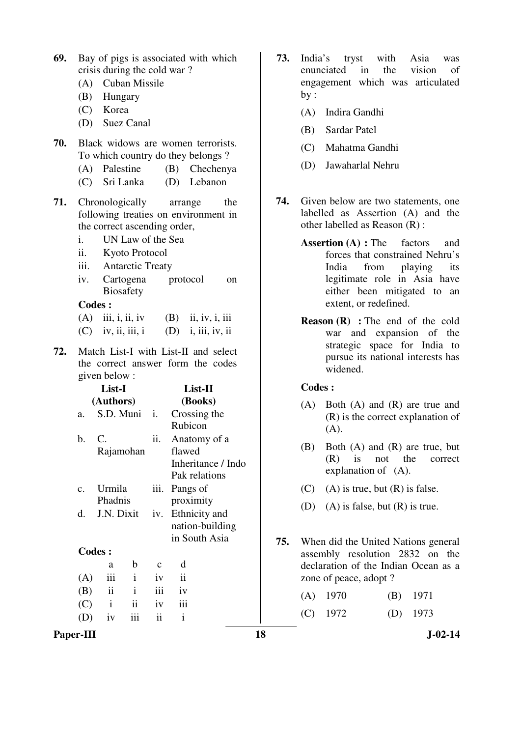| 69. Bay of pigs is associated with which |
|------------------------------------------|
| crisis during the cold war?              |

- (A) Cuban Missile
- (B) Hungary
- (C) Korea
- (D) Suez Canal
- **70.** Black widows are women terrorists. To which country do they belongs ?
	- (A) Palestine (B) Chechenya
	- (C) Sri Lanka (D) Lebanon
- **71.** Chronologically arrange the following treaties on environment in the correct ascending order,
	- i. UN Law of the Sea
	- ii. Kyoto Protocol
	- iii. Antarctic Treaty
	- iv. Cartogena protocol on Biosafety

#### **Codes :**

| $(A)$ iii, i, ii, iv | $(B)$ ii, iv, i, iii |
|----------------------|----------------------|
| $(C)$ iv, ii, iii, i | $(D)$ i, iii, iv, ii |

**72.** Match List-I with List-II and select the correct answer form the codes given below :

| List-I          |               |              |             | $List-II$          |  |  |
|-----------------|---------------|--------------|-------------|--------------------|--|--|
| (Authors)       |               |              |             | (Books)            |  |  |
| a.              | S.D. Muni i.  |              |             | Crossing the       |  |  |
|                 |               |              |             | Rubicon            |  |  |
| b.              | C.            |              | ii.         | Anatomy of a       |  |  |
|                 | Rajamohan     |              |             | flawed             |  |  |
|                 |               |              |             | Inheritance / Indo |  |  |
|                 |               |              |             | Pak relations      |  |  |
| $\mathcal{C}$ . | Urmila        |              | iii.        | Pangs of           |  |  |
|                 | Phadnis       |              |             | proximity          |  |  |
| d.              | J.N. Dixit    |              | iv.         | Ethnicity and      |  |  |
|                 |               |              |             | nation-building    |  |  |
|                 |               |              |             | in South Asia      |  |  |
|                 | <b>Codes:</b> |              |             |                    |  |  |
|                 | a             | b            | $\mathbf c$ | d                  |  |  |
| (A)             | iii           | $\mathbf{i}$ | iv          | $\ddot{\rm{11}}$   |  |  |
| (B)             | $\mathbf{ii}$ | $\mathbf{i}$ | iii         | iv                 |  |  |
| (C)             | $\mathbf{i}$  | ii           | iv          | iii                |  |  |

 $(D)$  iv iii ii i

- **73.** India's tryst with Asia was enunciated in the vision of engagement which was articulated by :
	- (A) Indira Gandhi
	- (B) Sardar Patel
	- (C) Mahatma Gandhi
	- (D) Jawaharlal Nehru
- **74.** Given below are two statements, one labelled as Assertion (A) and the other labelled as Reason (R) :
	- **Assertion (A) :** The factors and forces that constrained Nehru's India from playing its legitimate role in Asia have either been mitigated to an extent, or redefined.
	- **Reason (R) :** The end of the cold war and expansion of the strategic space for India to pursue its national interests has widened.

#### **Codes :**

- (A) Both (A) and (R) are true and (R) is the correct explanation of  $(A).$
- (B) Both (A) and (R) are true, but (R) is not the correct explanation of (A).
- $(C)$  (A) is true, but  $(R)$  is false.
- (D) (A) is false, but (R) is true.
- **75.** When did the United Nations general assembly resolution 2832 on the declaration of the Indian Ocean as a zone of peace, adopt ?

(A) 1970 (B) 1971

(C) 1972 (D) 1973

Paper-III **18** J-02-14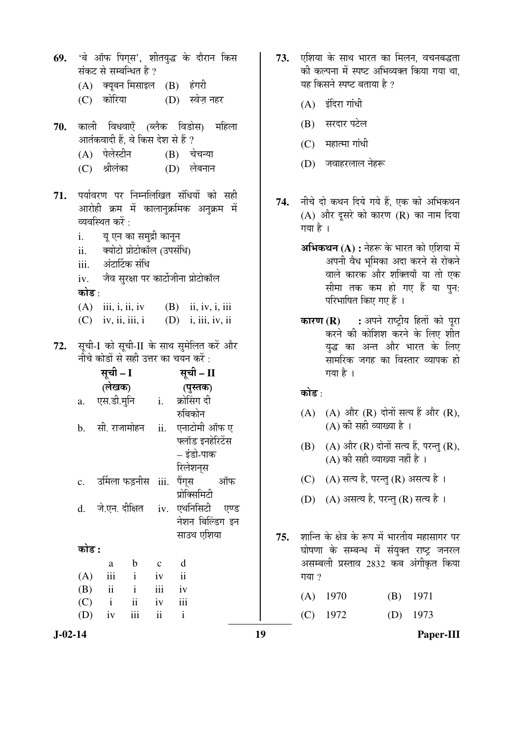'बे ऑफ पिगस', शीतयद्ध के दौरान किस 69. संकट से सम्बन्धित है ? (A) क्युबन मिसाइल (B) हंगरी  $(C)$  कोरिया (D) स्वेज़ नहर काली विधवाएँ (ब्लैक विडोस) महिला 70. आतंकवादी हैं. वे किस देश से हैं ? (A) पेलेस्टीन  $(B)$  चेचन्या श्रीलंका  $(D)$  लेबनान  $(C)$ पर्यावरण पर निम्नलिखित संधियों को सही 71. आरोही क्रम में कालानुक्रमिक अनुक्रम में व्यवस्थित करें :  $\mathbf{i}$ . यू एन का समुद्री कानून क्योटो प्रोटोकॉल (उपसंधि)  $ii.$ अंटार्टिक संधि  $iii$ जैव सुरक्षा पर कार्टोजीना प्रोटोकॉल  $iv$ . कोड :  $(B)$  ii, iv, i, iii  $(A)$  iii, i, ii, iv  $(C)$  iv, ii, iii, i  $(D)$  i, iii, iv, ii सूची-I को सूची-II के साथ सुमेलित करें और 72. नीचे कोडों से सही उत्तर का चयन करें : सूची – I सूची – II (लेखक) (पुस्तक) एस.डी.मुनि क्रोसिंग दी  $\mathbf{i}$ . a. रुबिकोन सी राजामोहन एनाटोमी ऑफ ए  $h_{\alpha}$  $ii.$ फ्लॉड इनहेरिटेंस – इंडो-पाक रिलेशनस उर्मिला फड़नीस iii. पैंगस  $\mathbf{c}$ . ऑफ प्रोक्सिमिटी जे.एन. दीक्षित iv. एथनिसिटी एण्ड  $\mathbf{d}$ . नेशन बिल्डिंग इन साउथ एशिया कोड :  $\mathbf b$  $\mathbf d$ a  $\mathbf{c}$  $(A)$ iii  $\mathbf{i}$  $iv$  $\mathbf{ii}$  $(B)$  $\mathbf{ii}$  $\mathbf{i}$ iii iv  $(C)$  $\mathbf{i}$  $\mathbf{ii}$  $iv$ iii (D)  $iv$ iii  $\mathbf{ii}$  $\mathbf{i}$ 

- 73. एशिया के साथ भारत का मिलन, वचनबद्धता की कल्पना में स्पष्ट अभिव्यक्त किया गया था. यह किसने स्पष्ट बताया है ?
	- $(A)$  इंदिरा गांधी
	- (B) सरदार पटेल
	- $(C)$  महात्मा गांधी
	- (D) जवाहरलाल नेहरू
- नीचे दो कथन दिये गये हैं. एक को अभिकथन 74.  $(A)$  और दूसरे को कारण  $(R)$  का नाम दिया गया है ।
	- अभिकथन (A) : नेहरू के भारत को एशिया में अपनी वैध भूमिका अदा करने से रोकने वाले कारक और शक्तियाँ या तो एक सीमा तक कम हो गए हैं या पुन: परिभाषित किए गए हैं ।
	- : अपने राष्ट्रीय हितों को पुरा कारण $(R)$ करने की कोशिश करने के लिए शीत यद्ध का अन्त और भारत के लिए ्<br>सामरिक जगह का विस्तार व्यापक हो गया है।

#### कोड :

- (A) (A) और (R) दोनों सत्य हैं और (R),  $(A)$  की सही व्याख्या है।
- (B) (A) और (R) दोनों सत्य हैं, परन्तु (R),  $(A)$  की सही व्याख्या नहीं है।
- (C)  $(A)$  सत्य है, परन्तु (R) असत्य है।
- (D) (A) असत्य है, परन्तु (R) सत्य है।

शान्ति के क्षेत्र के रूप में भारतीय महासागर पर 75. घोषणा के सम्बन्ध में संयक्त राष्ट जनरल असम्बली प्रस्ताव 2832 कब अंगीकृत किया गया ?

> $(A)$  1970 1971 (B)  $(C)$  1972  $(D)$ 1973

 $J-02-14$ 

19

Paper-III